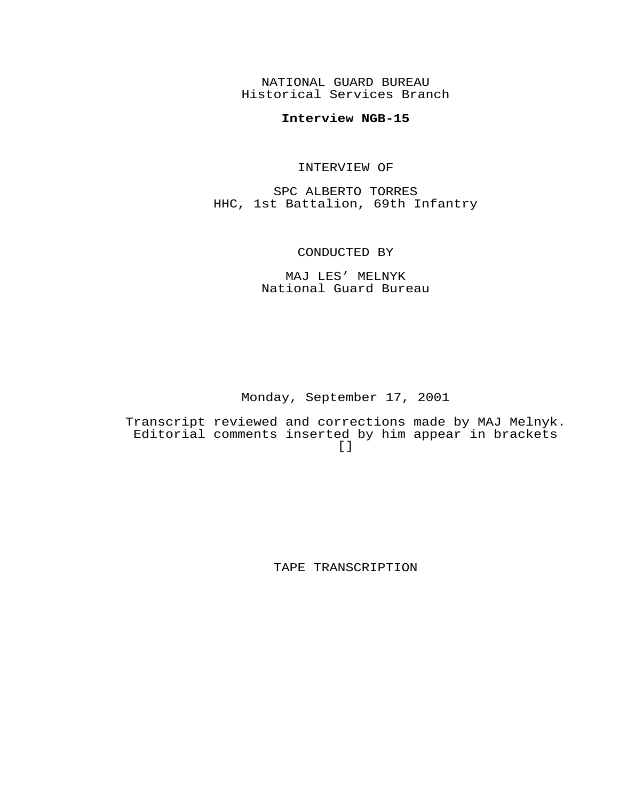NATIONAL GUARD BUREAU Historical Services Branch

## **Interview NGB-15**

#### INTERVIEW OF

SPC ALBERTO TORRES HHC, 1st Battalion, 69th Infantry

### CONDUCTED BY

## MAJ LES' MELNYK National Guard Bureau

Monday, September 17, 2001

Transcript reviewed and corrections made by MAJ Melnyk. Editorial comments inserted by him appear in brackets  $[$ ]

TAPE TRANSCRIPTION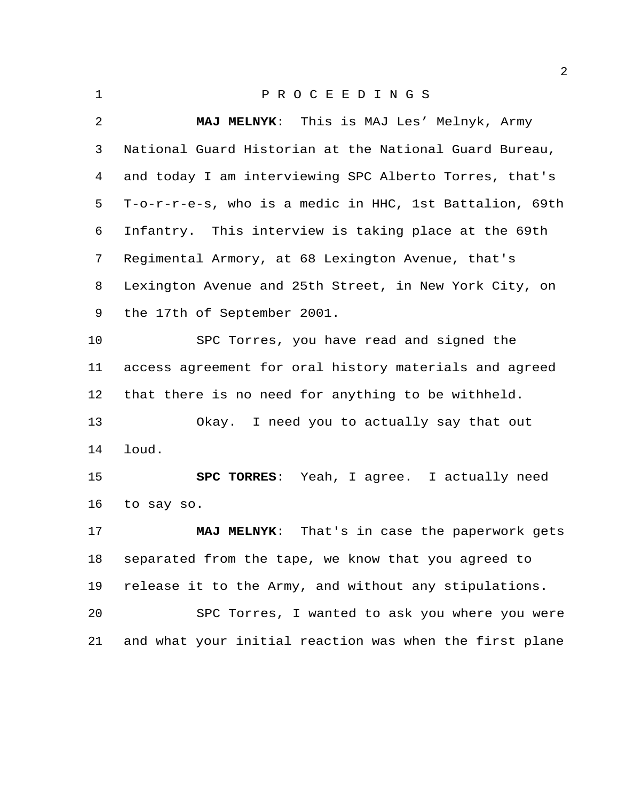| $\mathbf 1$ | PROCEEDINGS                                             |
|-------------|---------------------------------------------------------|
| 2           | MAJ MELNYK: This is MAJ Les' Melnyk, Army               |
| 3           | National Guard Historian at the National Guard Bureau,  |
| 4           | and today I am interviewing SPC Alberto Torres, that's  |
| 5           | T-o-r-r-e-s, who is a medic in HHC, 1st Battalion, 69th |
| 6           | Infantry. This interview is taking place at the 69th    |
| 7           | Regimental Armory, at 68 Lexington Avenue, that's       |
| 8           | Lexington Avenue and 25th Street, in New York City, on  |
| 9           | the 17th of September 2001.                             |
| 10          | SPC Torres, you have read and signed the                |
| 11          | access agreement for oral history materials and agreed  |
| 12          | that there is no need for anything to be withheld.      |
| 13          | Okay. I need you to actually say that out               |
| 14          | loud.                                                   |
| 15          | SPC TORRES: Yeah, I agree. I actually need              |
| 16          | to say so.                                              |
| 17          | That's in case the paperwork gets<br><b>MAJ MELNYK:</b> |
| 18          | separated from the tape, we know that you agreed to     |
| 19          | release it to the Army, and without any stipulations.   |
| 20          | SPC Torres, I wanted to ask you where you were          |
| 21          | and what your initial reaction was when the first plane |
|             |                                                         |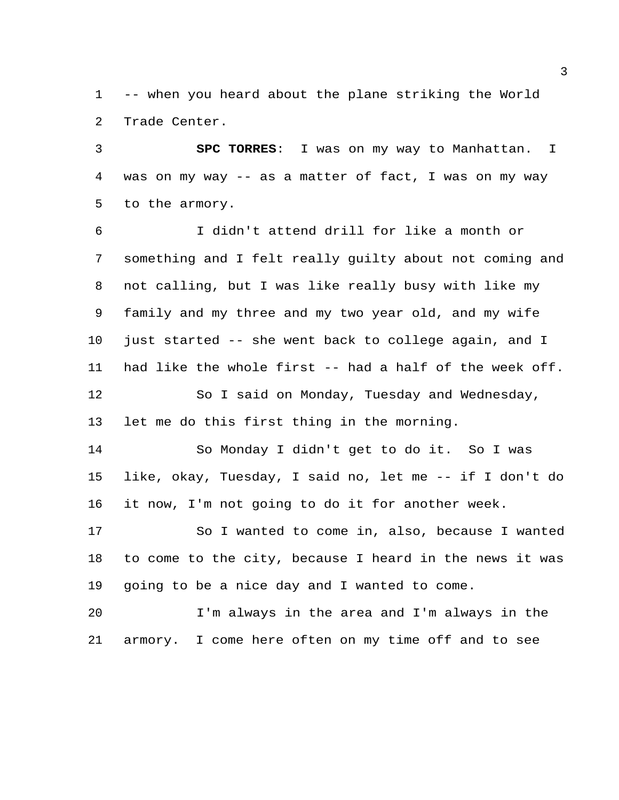-- when you heard about the plane striking the World Trade Center.

 **SPC TORRES**: I was on my way to Manhattan. I was on my way -- as a matter of fact, I was on my way to the armory.

 I didn't attend drill for like a month or something and I felt really guilty about not coming and not calling, but I was like really busy with like my family and my three and my two year old, and my wife 10 just started -- she went back to college again, and I had like the whole first -- had a half of the week off. So I said on Monday, Tuesday and Wednesday, let me do this first thing in the morning.

 So Monday I didn't get to do it. So I was like, okay, Tuesday, I said no, let me -- if I don't do it now, I'm not going to do it for another week.

 So I wanted to come in, also, because I wanted to come to the city, because I heard in the news it was going to be a nice day and I wanted to come.

 I'm always in the area and I'm always in the armory. I come here often on my time off and to see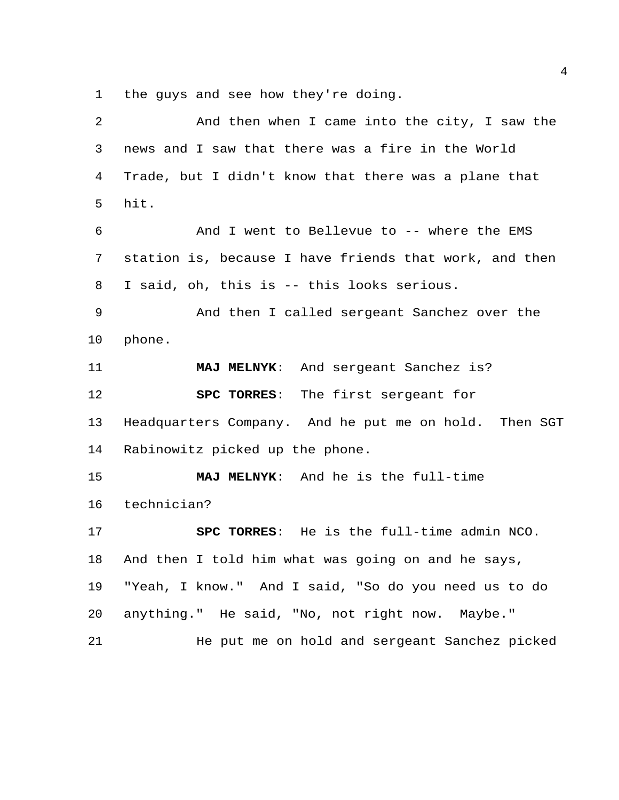the guys and see how they're doing.

 And then when I came into the city, I saw the news and I saw that there was a fire in the World Trade, but I didn't know that there was a plane that hit. And I went to Bellevue to -- where the EMS station is, because I have friends that work, and then I said, oh, this is -- this looks serious. And then I called sergeant Sanchez over the phone. **MAJ MELNYK**: And sergeant Sanchez is? **SPC TORRES**: The first sergeant for Headquarters Company. And he put me on hold. Then SGT Rabinowitz picked up the phone. **MAJ MELNYK**: And he is the full-time technician? **SPC TORRES**: He is the full-time admin NCO. And then I told him what was going on and he says, "Yeah, I know." And I said, "So do you need us to do anything." He said, "No, not right now. Maybe." He put me on hold and sergeant Sanchez picked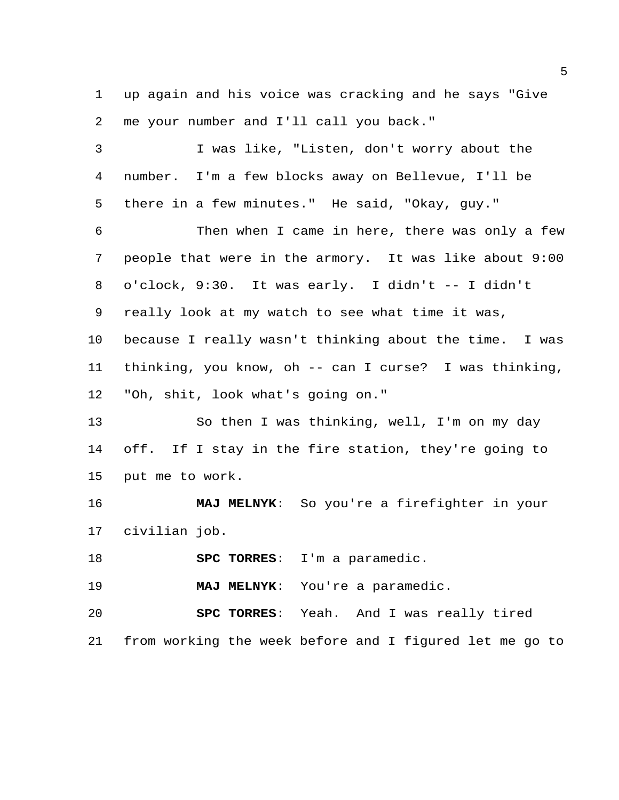up again and his voice was cracking and he says "Give me your number and I'll call you back."

 I was like, "Listen, don't worry about the number. I'm a few blocks away on Bellevue, I'll be there in a few minutes." He said, "Okay, guy."

 Then when I came in here, there was only a few people that were in the armory. It was like about 9:00 o'clock, 9:30. It was early. I didn't -- I didn't really look at my watch to see what time it was, because I really wasn't thinking about the time. I was thinking, you know, oh -- can I curse? I was thinking, "Oh, shit, look what's going on."

 So then I was thinking, well, I'm on my day off. If I stay in the fire station, they're going to put me to work.

 **MAJ MELNYK**: So you're a firefighter in your civilian job.

**SPC TORRES**: I'm a paramedic.

**MAJ MELNYK**: You're a paramedic.

 **SPC TORRES**: Yeah. And I was really tired from working the week before and I figured let me go to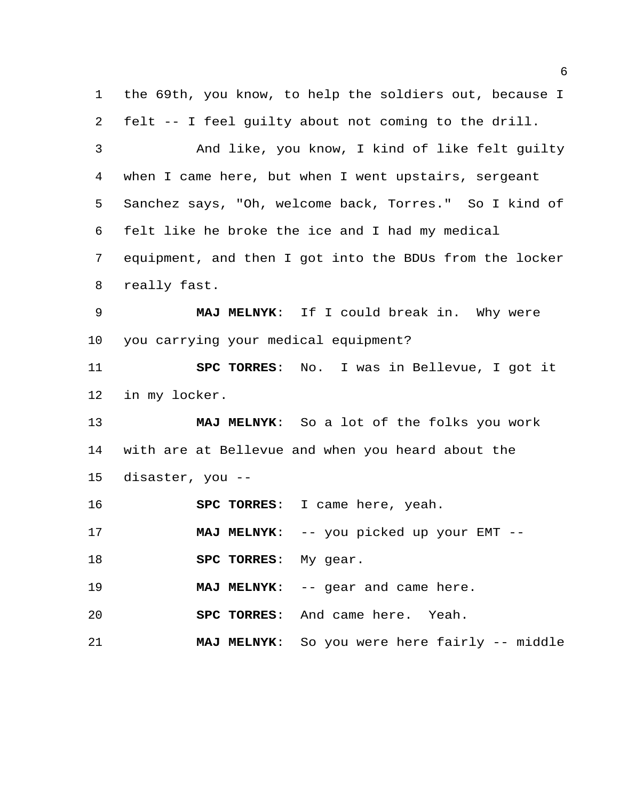the 69th, you know, to help the soldiers out, because I felt -- I feel guilty about not coming to the drill. And like, you know, I kind of like felt guilty when I came here, but when I went upstairs, sergeant Sanchez says, "Oh, welcome back, Torres." So I kind of felt like he broke the ice and I had my medical equipment, and then I got into the BDUs from the locker really fast. **MAJ MELNYK**: If I could break in. Why were you carrying your medical equipment? **SPC TORRES**: No. I was in Bellevue, I got it in my locker. **MAJ MELNYK**: So a lot of the folks you work with are at Bellevue and when you heard about the disaster, you -- **SPC TORRES**: I came here, yeah. **MAJ MELNYK:** -- you picked up your EMT -- **SPC TORRES**: My gear. **MAJ MELNYK**: -- gear and came here. **SPC TORRES**: And came here. Yeah. **MAJ MELNYK**: So you were here fairly -- middle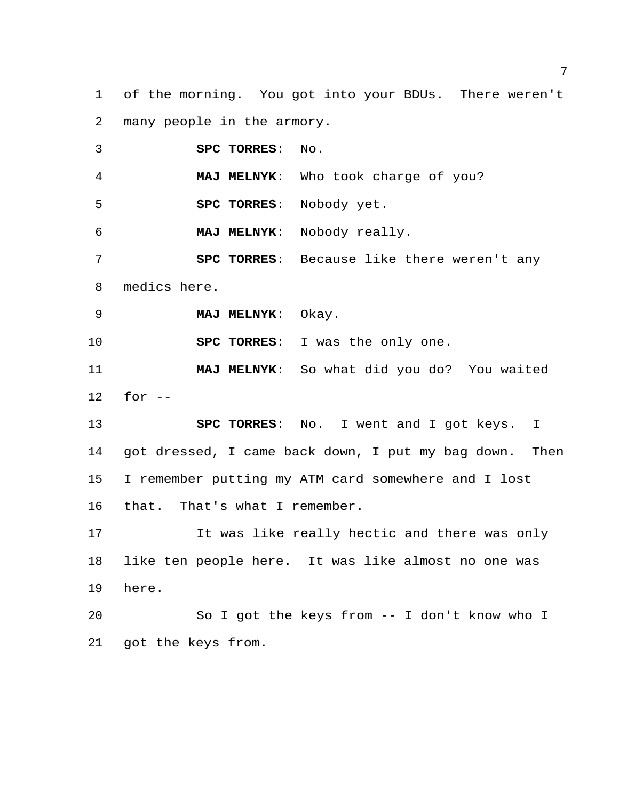of the morning. You got into your BDUs. There weren't many people in the armory.

 **SPC TORRES**: No. **MAJ MELNYK**: Who took charge of you? **SPC TORRES**: Nobody yet. **MAJ MELNYK**: Nobody really. **SPC TORRES**: Because like there weren't any medics here. **MAJ MELNYK**: Okay. **SPC TORRES**: I was the only one. **MAJ MELNYK**: So what did you do? You waited for -- **SPC TORRES**: No. I went and I got keys. I got dressed, I came back down, I put my bag down. Then I remember putting my ATM card somewhere and I lost that. That's what I remember. It was like really hectic and there was only like ten people here. It was like almost no one was here. So I got the keys from -- I don't know who I got the keys from.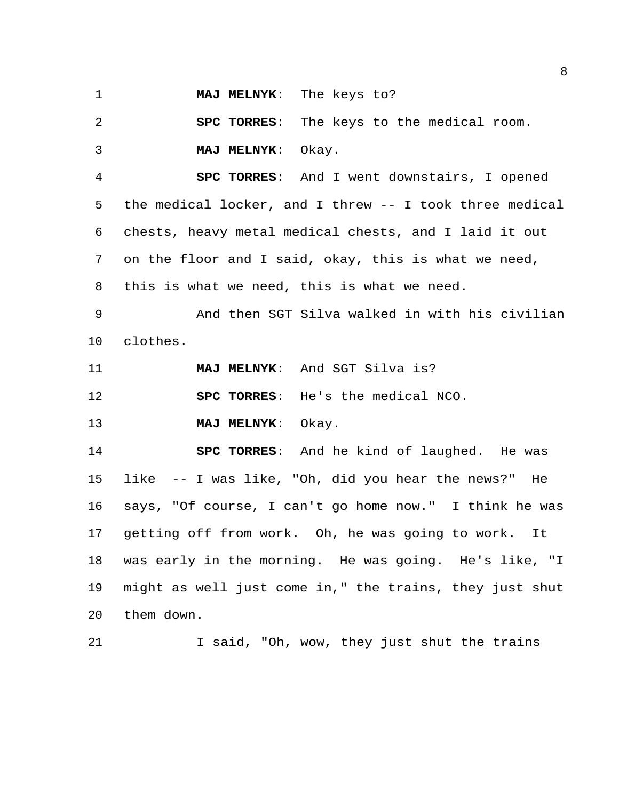**MAJ MELNYK**: The keys to?

 **SPC TORRES**: The keys to the medical room. **MAJ MELNYK**: Okay.

 **SPC TORRES**: And I went downstairs, I opened the medical locker, and I threw -- I took three medical chests, heavy metal medical chests, and I laid it out on the floor and I said, okay, this is what we need, this is what we need, this is what we need.

 And then SGT Silva walked in with his civilian clothes.

**MAJ MELNYK**: And SGT Silva is?

**SPC TORRES**: He's the medical NCO.

**MAJ MELNYK**: Okay.

 **SPC TORRES**: And he kind of laughed. He was like -- I was like, "Oh, did you hear the news?" He says, "Of course, I can't go home now." I think he was getting off from work. Oh, he was going to work. It was early in the morning. He was going. He's like, "I might as well just come in," the trains, they just shut them down.

I said, "Oh, wow, they just shut the trains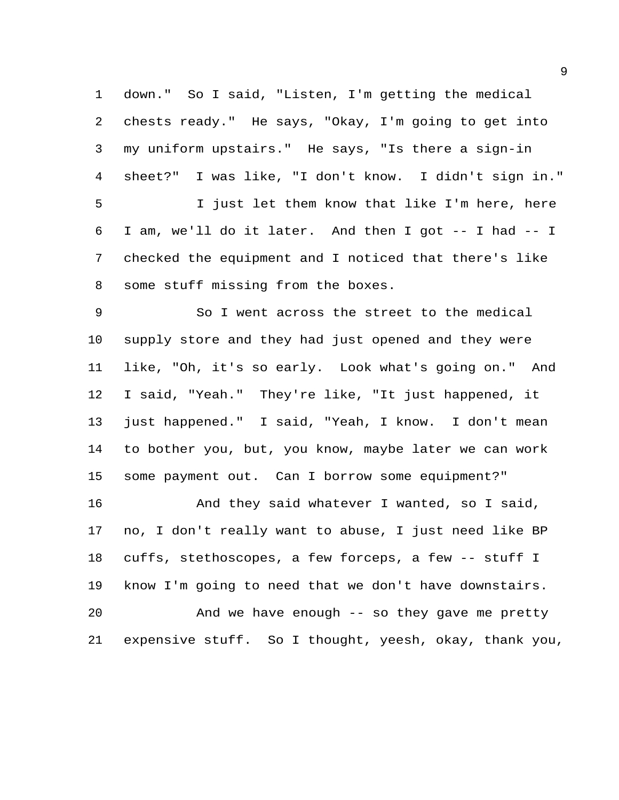down." So I said, "Listen, I'm getting the medical chests ready." He says, "Okay, I'm going to get into my uniform upstairs." He says, "Is there a sign-in sheet?" I was like, "I don't know. I didn't sign in." I just let them know that like I'm here, here I am, we'll do it later. And then I got -- I had -- I checked the equipment and I noticed that there's like some stuff missing from the boxes.

 So I went across the street to the medical supply store and they had just opened and they were like, "Oh, it's so early. Look what's going on." And I said, "Yeah." They're like, "It just happened, it just happened." I said, "Yeah, I know. I don't mean to bother you, but, you know, maybe later we can work some payment out. Can I borrow some equipment?"

 And they said whatever I wanted, so I said, no, I don't really want to abuse, I just need like BP cuffs, stethoscopes, a few forceps, a few -- stuff I know I'm going to need that we don't have downstairs. And we have enough -- so they gave me pretty expensive stuff. So I thought, yeesh, okay, thank you,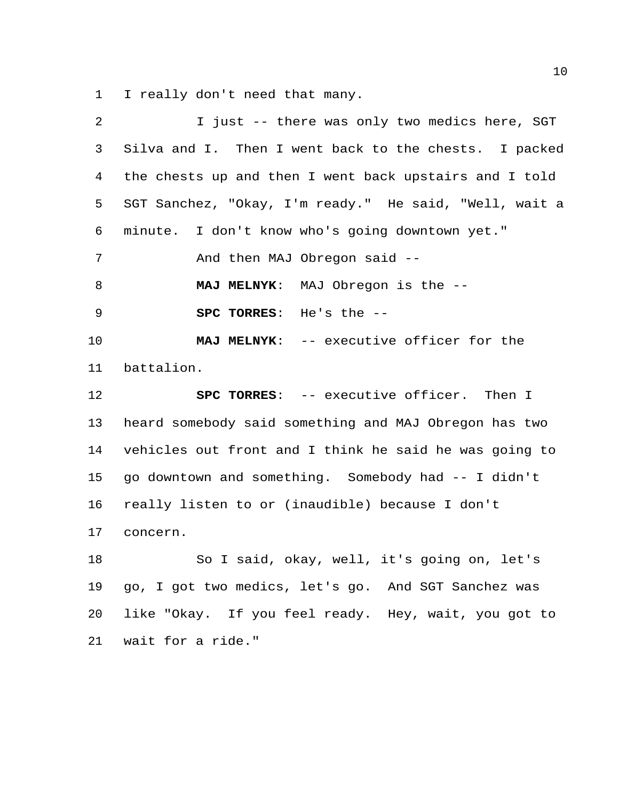I really don't need that many.

| $\overline{2}$ | I just -- there was only two medics here, SGT          |
|----------------|--------------------------------------------------------|
| 3              | Silva and I. Then I went back to the chests. I packed  |
| 4              | the chests up and then I went back upstairs and I told |
| 5              | SGT Sanchez, "Okay, I'm ready." He said, "Well, wait a |
| 6              | minute. I don't know who's going downtown yet."        |
| 7              | And then MAJ Obregon said --                           |
| 8              | MAJ MELNYK: MAJ Obregon is the --                      |
| 9              | SPC TORRES: He's the --                                |
| 10             | MAJ MELNYK: -- executive officer for the               |
| 11             | battalion.                                             |
| 12             | SPC TORRES: -- executive officer. Then I               |
| 13             | heard somebody said something and MAJ Obregon has two  |
| 14             | vehicles out front and I think he said he was going to |
| 15             | go downtown and something. Somebody had -- I didn't    |
| 16             | really listen to or (inaudible) because I don't        |
| 17             | concern.                                               |
| 18             | So I said, okay, well, it's going on, let's            |
| 19             | go, I got two medics, let's go. And SGT Sanchez was    |
| 20             | like "Okay. If you feel ready. Hey, wait, you got to   |
| 21             | wait for a ride."                                      |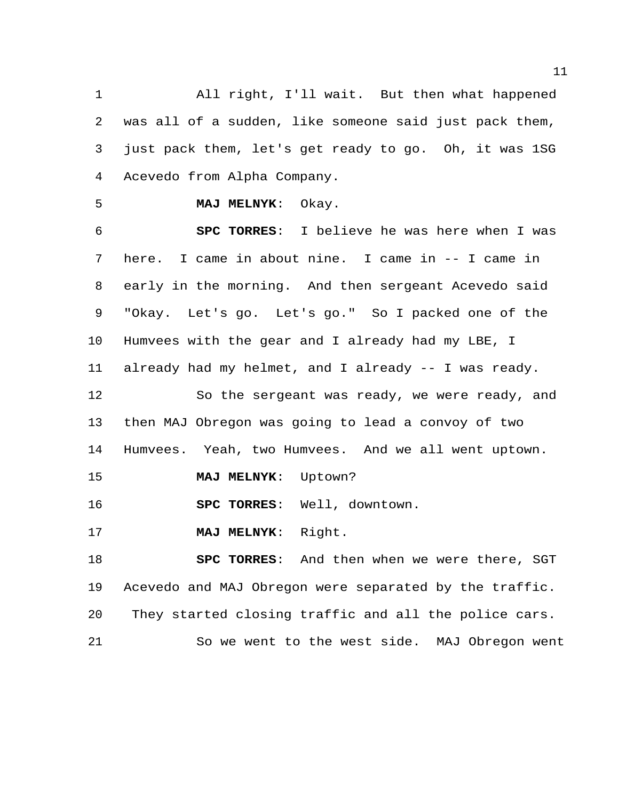All right, I'll wait. But then what happened was all of a sudden, like someone said just pack them, just pack them, let's get ready to go. Oh, it was 1SG Acevedo from Alpha Company.

# **MAJ MELNYK**: Okay.

 **SPC TORRES**: I believe he was here when I was here. I came in about nine. I came in -- I came in early in the morning. And then sergeant Acevedo said "Okay. Let's go. Let's go." So I packed one of the Humvees with the gear and I already had my LBE, I already had my helmet, and I already -- I was ready. So the sergeant was ready, we were ready, and

 then MAJ Obregon was going to lead a convoy of two Humvees. Yeah, two Humvees. And we all went uptown.

**MAJ MELNYK**: Uptown?

**SPC TORRES**: Well, downtown.

**MAJ MELNYK**: Right.

 **SPC TORRES**: And then when we were there, SGT Acevedo and MAJ Obregon were separated by the traffic. They started closing traffic and all the police cars. So we went to the west side. MAJ Obregon went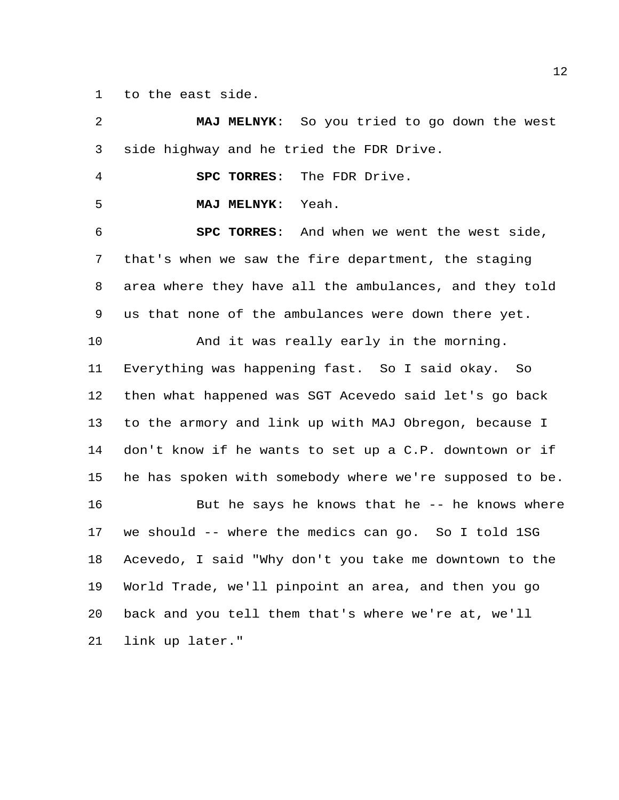to the east side.

 **MAJ MELNYK**: So you tried to go down the west side highway and he tried the FDR Drive. **SPC TORRES**: The FDR Drive. **MAJ MELNYK**: Yeah. **SPC TORRES**: And when we went the west side, that's when we saw the fire department, the staging area where they have all the ambulances, and they told us that none of the ambulances were down there yet. And it was really early in the morning. Everything was happening fast. So I said okay. So then what happened was SGT Acevedo said let's go back to the armory and link up with MAJ Obregon, because I don't know if he wants to set up a C.P. downtown or if he has spoken with somebody where we're supposed to be. 16 But he says he knows that he -- he knows where we should -- where the medics can go. So I told 1SG Acevedo, I said "Why don't you take me downtown to the World Trade, we'll pinpoint an area, and then you go back and you tell them that's where we're at, we'll link up later."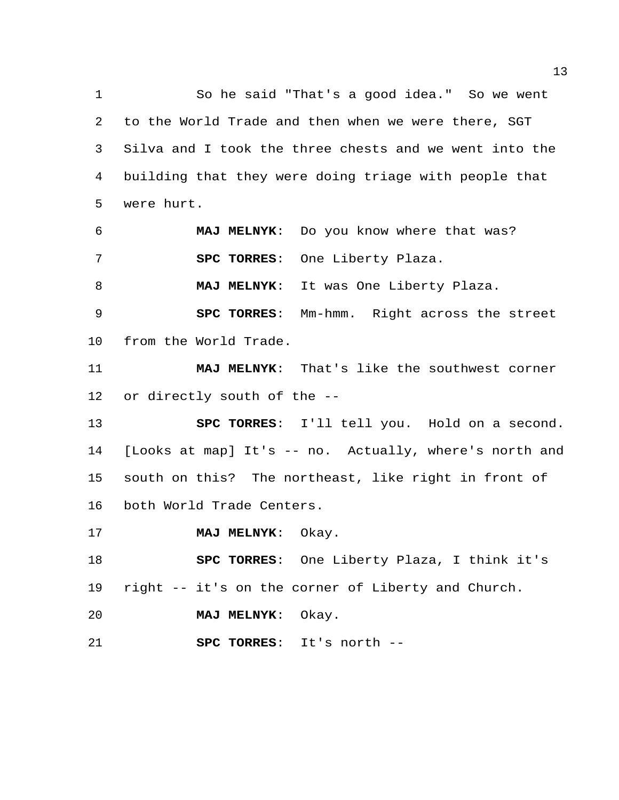So he said "That's a good idea." So we went to the World Trade and then when we were there, SGT Silva and I took the three chests and we went into the building that they were doing triage with people that were hurt.

 **MAJ MELNYK**: Do you know where that was? **SPC TORRES**: One Liberty Plaza.

**MAJ MELNYK**: It was One Liberty Plaza.

 **SPC TORRES**: Mm-hmm. Right across the street from the World Trade.

 **MAJ MELNYK**: That's like the southwest corner or directly south of the --

 **SPC TORRES**: I'll tell you. Hold on a second. [Looks at map] It's -- no. Actually, where's north and south on this? The northeast, like right in front of both World Trade Centers.

**MAJ MELNYK**: Okay.

 **SPC TORRES**: One Liberty Plaza, I think it's right -- it's on the corner of Liberty and Church.

**MAJ MELNYK**: Okay.

**SPC TORRES**: It's north --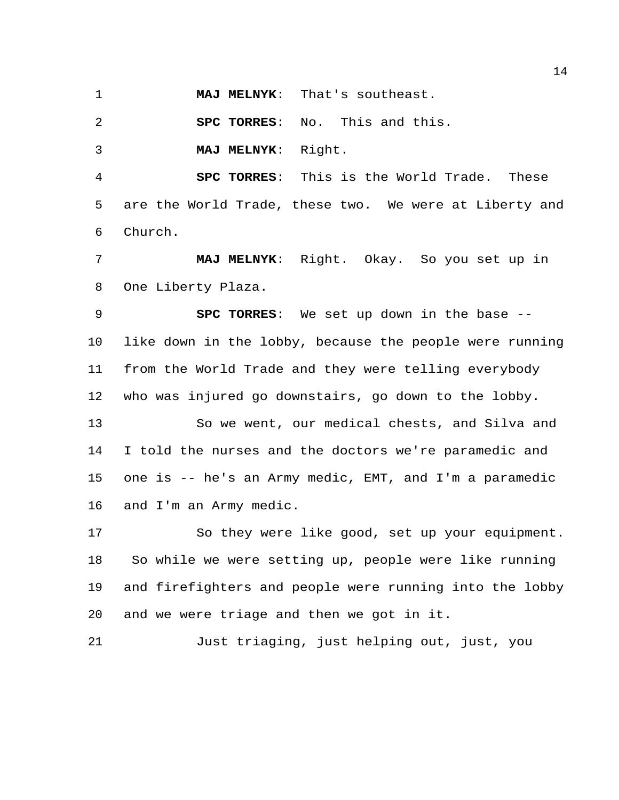**MAJ MELNYK**: That's southeast.

**SPC TORRES**: No. This and this.

**MAJ MELNYK**: Right.

 **SPC TORRES**: This is the World Trade. These are the World Trade, these two. We were at Liberty and Church.

 **MAJ MELNYK**: Right. Okay. So you set up in One Liberty Plaza.

 **SPC TORRES**: We set up down in the base -- like down in the lobby, because the people were running from the World Trade and they were telling everybody who was injured go downstairs, go down to the lobby.

 So we went, our medical chests, and Silva and I told the nurses and the doctors we're paramedic and one is -- he's an Army medic, EMT, and I'm a paramedic and I'm an Army medic.

 So they were like good, set up your equipment. So while we were setting up, people were like running and firefighters and people were running into the lobby and we were triage and then we got in it.

Just triaging, just helping out, just, you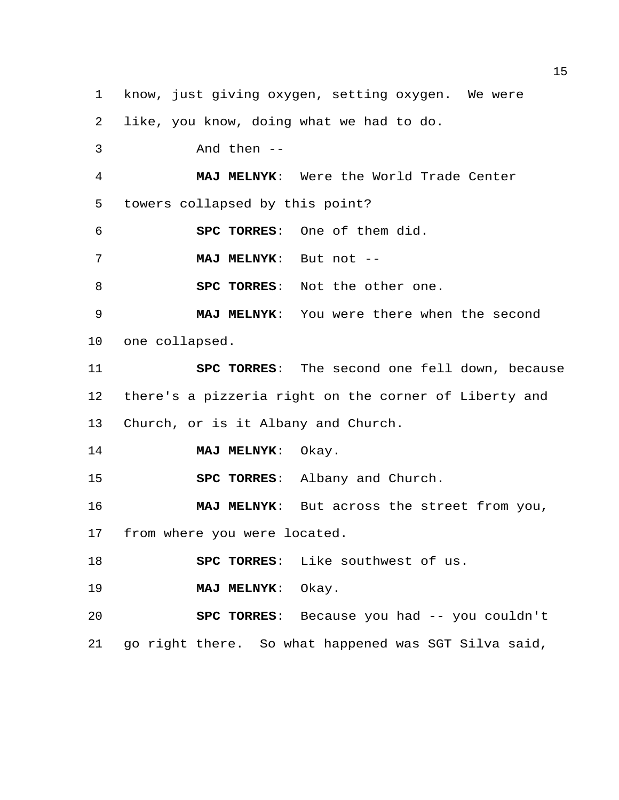know, just giving oxygen, setting oxygen. We were like, you know, doing what we had to do. And then -- **MAJ MELNYK**: Were the World Trade Center towers collapsed by this point? **SPC TORRES**: One of them did. **MAJ MELNYK**: But not -- **SPC TORRES**: Not the other one. **MAJ MELNYK**: You were there when the second one collapsed. **SPC TORRES**: The second one fell down, because there's a pizzeria right on the corner of Liberty and Church, or is it Albany and Church. **MAJ MELNYK**: Okay. **SPC TORRES**: Albany and Church. **MAJ MELNYK**: But across the street from you, from where you were located. **SPC TORRES**: Like southwest of us. **MAJ MELNYK**: Okay. **SPC TORRES**: Because you had -- you couldn't

go right there. So what happened was SGT Silva said,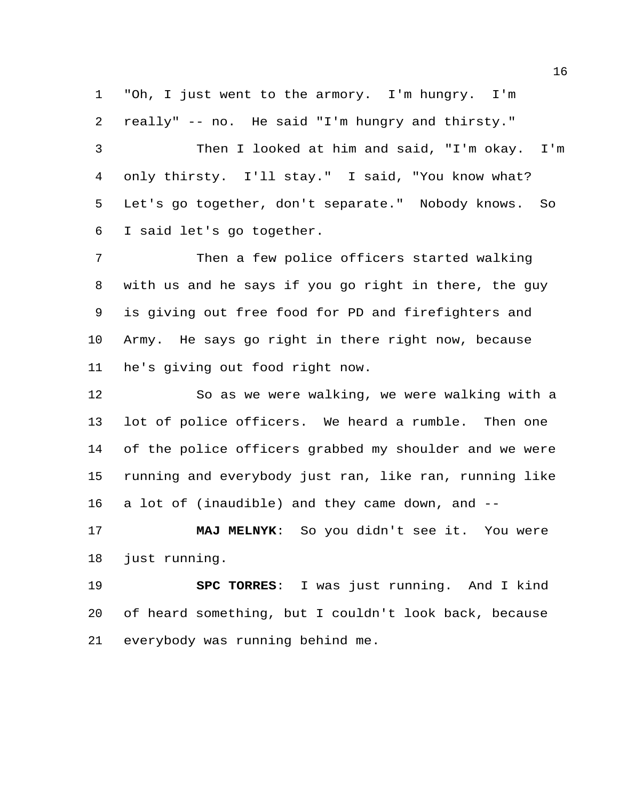"Oh, I just went to the armory. I'm hungry. I'm really" -- no. He said "I'm hungry and thirsty."

 Then I looked at him and said, "I'm okay. I'm only thirsty. I'll stay." I said, "You know what? Let's go together, don't separate." Nobody knows. So I said let's go together.

 Then a few police officers started walking with us and he says if you go right in there, the guy is giving out free food for PD and firefighters and Army. He says go right in there right now, because he's giving out food right now.

 So as we were walking, we were walking with a lot of police officers. We heard a rumble. Then one of the police officers grabbed my shoulder and we were running and everybody just ran, like ran, running like a lot of (inaudible) and they came down, and --

 **MAJ MELNYK**: So you didn't see it. You were just running.

 **SPC TORRES**: I was just running. And I kind of heard something, but I couldn't look back, because everybody was running behind me.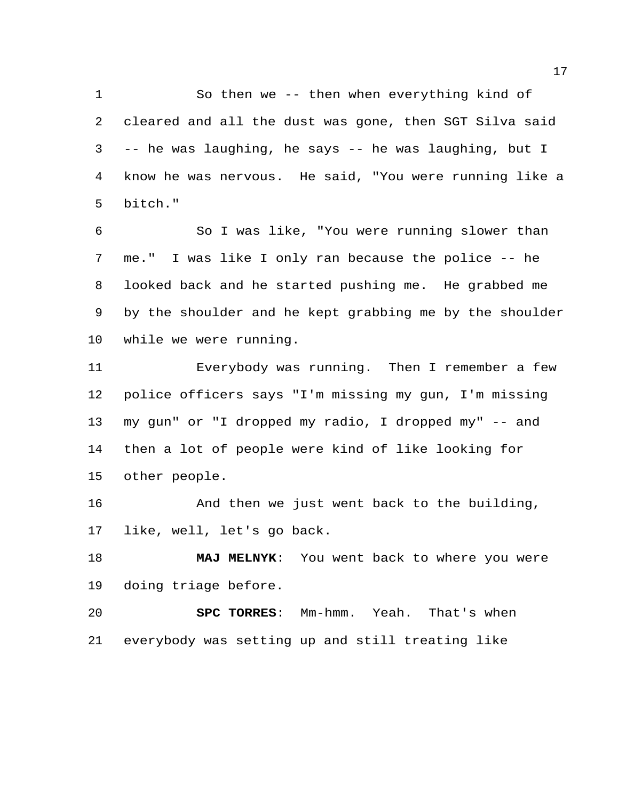So then we -- then when everything kind of cleared and all the dust was gone, then SGT Silva said -- he was laughing, he says -- he was laughing, but I know he was nervous. He said, "You were running like a bitch."

 So I was like, "You were running slower than me." I was like I only ran because the police -- he looked back and he started pushing me. He grabbed me by the shoulder and he kept grabbing me by the shoulder while we were running.

 Everybody was running. Then I remember a few police officers says "I'm missing my gun, I'm missing my gun" or "I dropped my radio, I dropped my" -- and then a lot of people were kind of like looking for other people.

 And then we just went back to the building, like, well, let's go back.

 **MAJ MELNYK**: You went back to where you were doing triage before.

 **SPC TORRES**: Mm-hmm. Yeah. That's when everybody was setting up and still treating like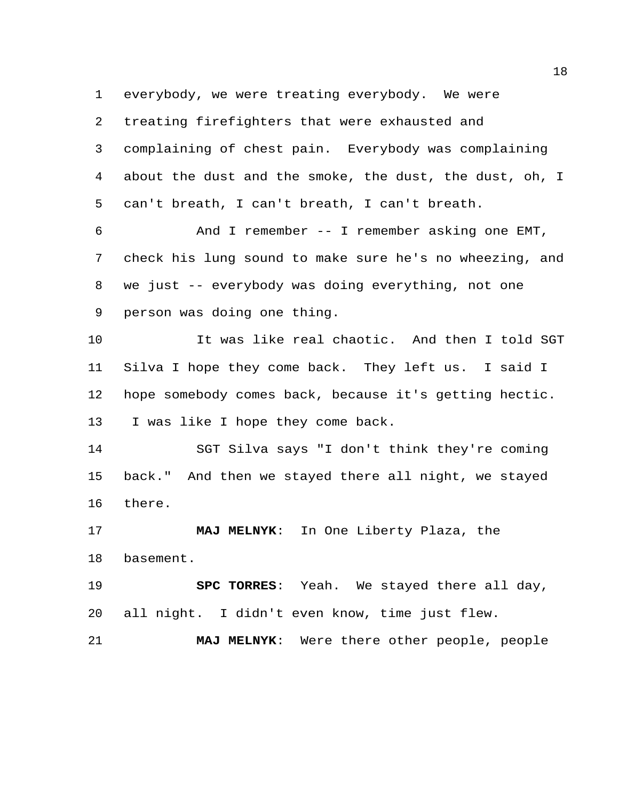everybody, we were treating everybody. We were

 treating firefighters that were exhausted and complaining of chest pain. Everybody was complaining about the dust and the smoke, the dust, the dust, oh, I can't breath, I can't breath, I can't breath.

 And I remember -- I remember asking one EMT, check his lung sound to make sure he's no wheezing, and we just -- everybody was doing everything, not one person was doing one thing.

 It was like real chaotic. And then I told SGT Silva I hope they come back. They left us. I said I hope somebody comes back, because it's getting hectic. I was like I hope they come back.

 SGT Silva says "I don't think they're coming back." And then we stayed there all night, we stayed there.

 **MAJ MELNYK**: In One Liberty Plaza, the basement.

 **SPC TORRES**: Yeah. We stayed there all day, all night. I didn't even know, time just flew.

**MAJ MELNYK**: Were there other people, people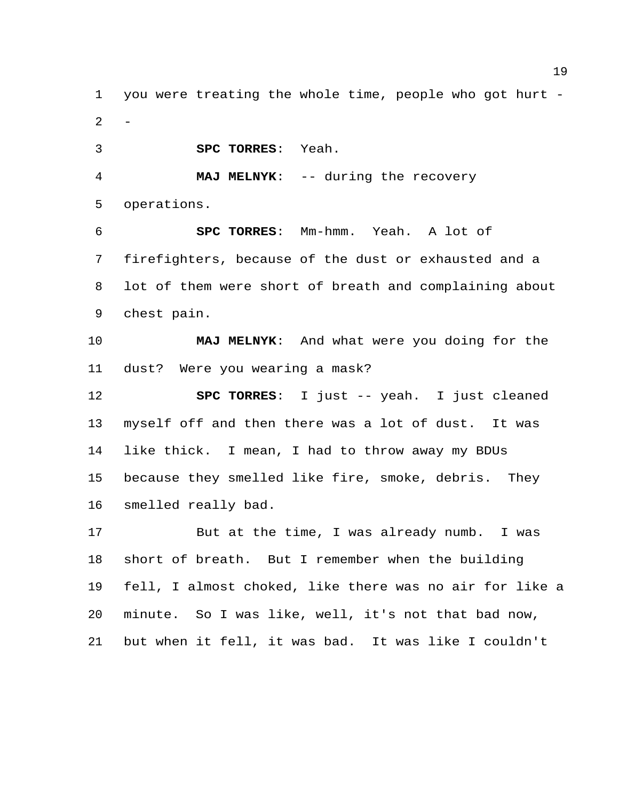you were treating the whole time, people who got hurt -  $\overline{2}$ 

**SPC TORRES**: Yeah.

 **MAJ MELNYK**: -- during the recovery operations.

 **SPC TORRES**: Mm-hmm. Yeah. A lot of firefighters, because of the dust or exhausted and a lot of them were short of breath and complaining about chest pain.

 **MAJ MELNYK**: And what were you doing for the dust? Were you wearing a mask?

 **SPC TORRES**: I just -- yeah. I just cleaned myself off and then there was a lot of dust. It was like thick. I mean, I had to throw away my BDUs because they smelled like fire, smoke, debris. They smelled really bad.

 But at the time, I was already numb. I was short of breath. But I remember when the building fell, I almost choked, like there was no air for like a minute. So I was like, well, it's not that bad now, but when it fell, it was bad. It was like I couldn't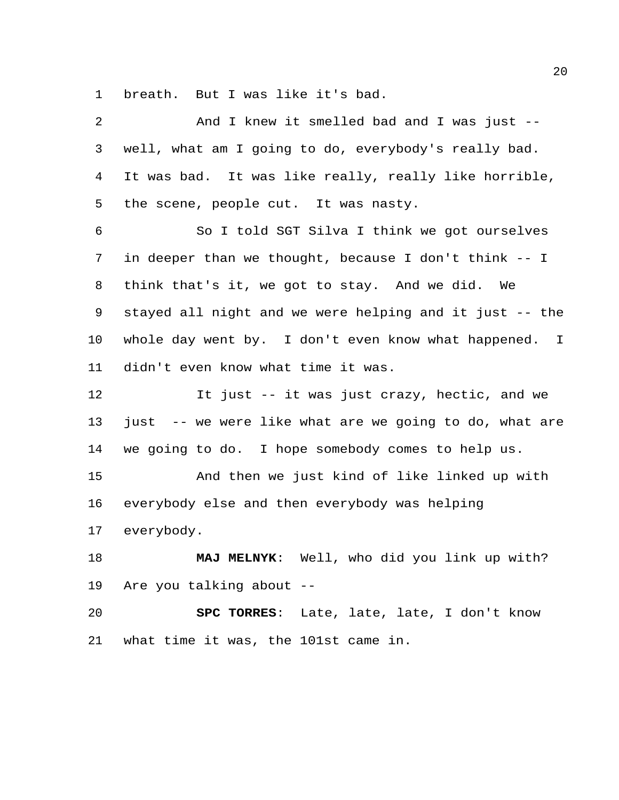breath. But I was like it's bad.

| $\overline{2}$  | And I knew it smelled bad and I was just --             |
|-----------------|---------------------------------------------------------|
| 3               | well, what am I going to do, everybody's really bad.    |
| 4               | It was bad. It was like really, really like horrible,   |
| 5               | the scene, people cut. It was nasty.                    |
| 6               | So I told SGT Silva I think we got ourselves            |
| 7               | in deeper than we thought, because I don't think -- I   |
| 8               | think that's it, we got to stay. And we did. We         |
| 9               | stayed all night and we were helping and it just -- the |
| $10 \,$         | whole day went by. I don't even know what happened. I   |
| 11              | didn't even know what time it was.                      |
| 12              | It just -- it was just crazy, hectic, and we            |
| 13              | just -- we were like what are we going to do, what are  |
| 14              | we going to do. I hope somebody comes to help us.       |
| 15              | And then we just kind of like linked up with            |
| 16              | everybody else and then everybody was helping           |
| 17 <sub>2</sub> | everybody.                                              |
| 18              | Well, who did you link up with?<br><b>MAJ MELNYK:</b>   |
| 19              | Are you talking about --                                |
| 20              | SPC TORRES: Late, late, late, I don't know              |
| 21              | what time it was, the 101st came in.                    |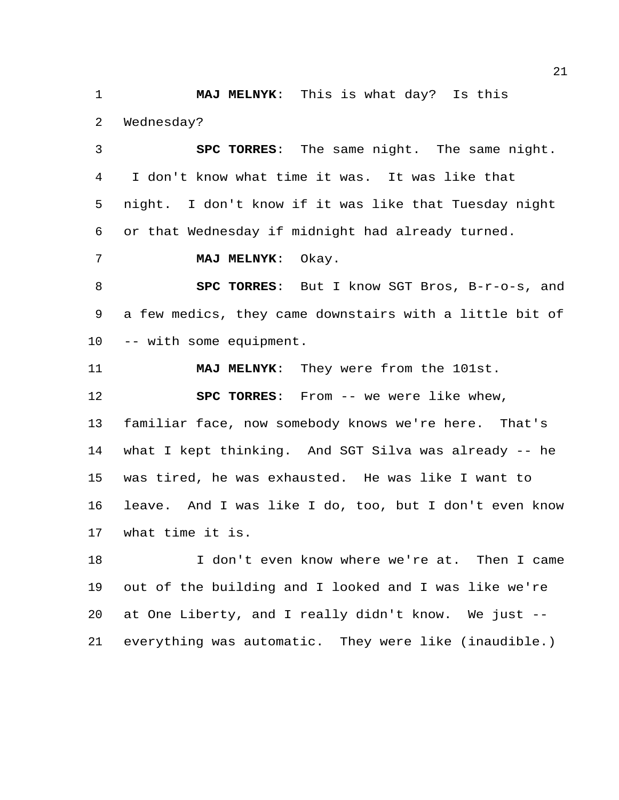**MAJ MELNYK**: This is what day? Is this Wednesday?

 **SPC TORRES**: The same night. The same night. I don't know what time it was. It was like that night. I don't know if it was like that Tuesday night or that Wednesday if midnight had already turned.

**MAJ MELNYK**: Okay.

 **SPC TORRES**: But I know SGT Bros, B-r-o-s, and a few medics, they came downstairs with a little bit of -- with some equipment.

**MAJ MELNYK**: They were from the 101st.

**SPC TORRES**: From -- we were like whew,

 familiar face, now somebody knows we're here. That's what I kept thinking. And SGT Silva was already -- he was tired, he was exhausted. He was like I want to leave. And I was like I do, too, but I don't even know what time it is.

 I don't even know where we're at. Then I came out of the building and I looked and I was like we're at One Liberty, and I really didn't know. We just -- everything was automatic. They were like (inaudible.)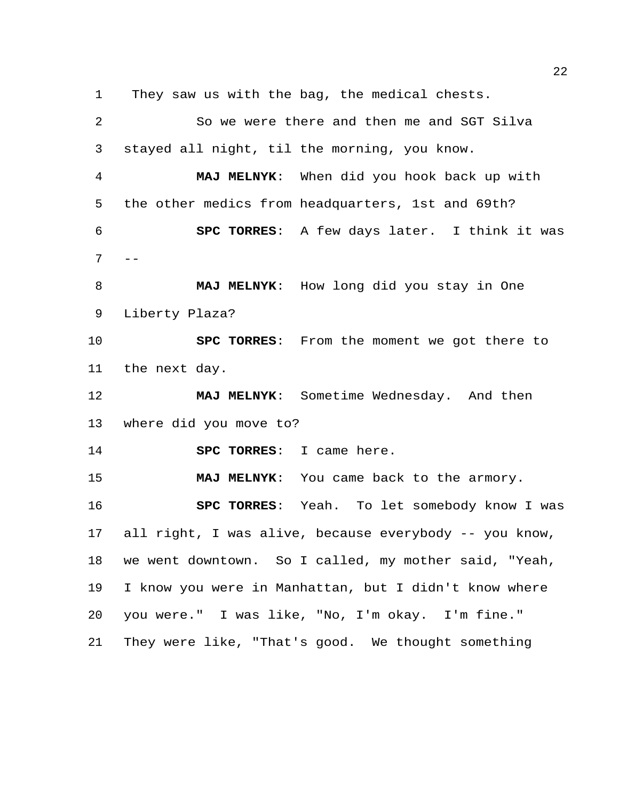They saw us with the bag, the medical chests. So we were there and then me and SGT Silva stayed all night, til the morning, you know. **MAJ MELNYK**: When did you hook back up with the other medics from headquarters, 1st and 69th? **SPC TORRES**: A few days later. I think it was  $7 - -$  **MAJ MELNYK**: How long did you stay in One Liberty Plaza? **SPC TORRES**: From the moment we got there to the next day. **MAJ MELNYK**: Sometime Wednesday. And then where did you move to? **SPC TORRES**: I came here. **MAJ MELNYK**: You came back to the armory. **SPC TORRES**: Yeah. To let somebody know I was all right, I was alive, because everybody -- you know, we went downtown. So I called, my mother said, "Yeah, I know you were in Manhattan, but I didn't know where you were." I was like, "No, I'm okay. I'm fine." They were like, "That's good. We thought something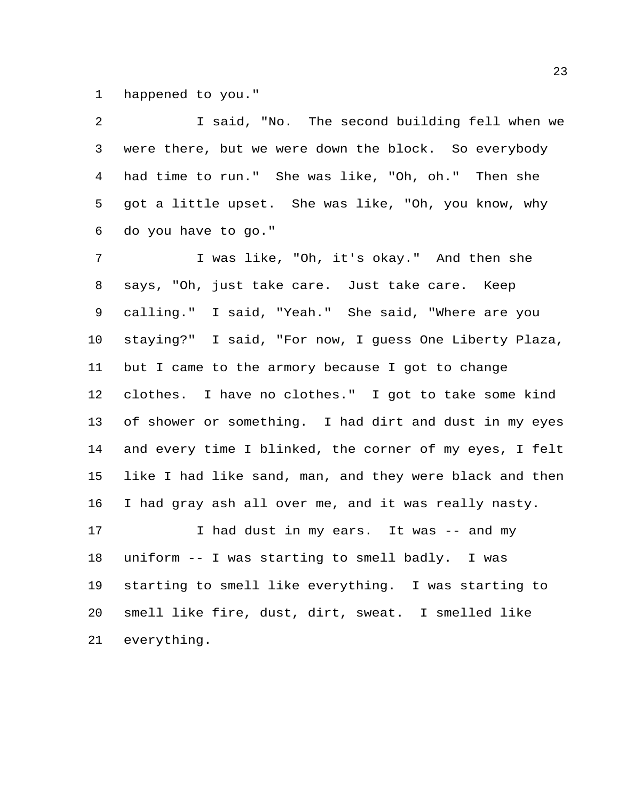happened to you."

 I said, "No. The second building fell when we were there, but we were down the block. So everybody had time to run." She was like, "Oh, oh." Then she got a little upset. She was like, "Oh, you know, why do you have to go."

 I was like, "Oh, it's okay." And then she says, "Oh, just take care. Just take care. Keep calling." I said, "Yeah." She said, "Where are you staying?" I said, "For now, I guess One Liberty Plaza, but I came to the armory because I got to change clothes. I have no clothes." I got to take some kind of shower or something. I had dirt and dust in my eyes and every time I blinked, the corner of my eyes, I felt like I had like sand, man, and they were black and then I had gray ash all over me, and it was really nasty. 17 1 I had dust in my ears. It was -- and my

 uniform -- I was starting to smell badly. I was starting to smell like everything. I was starting to smell like fire, dust, dirt, sweat. I smelled like everything.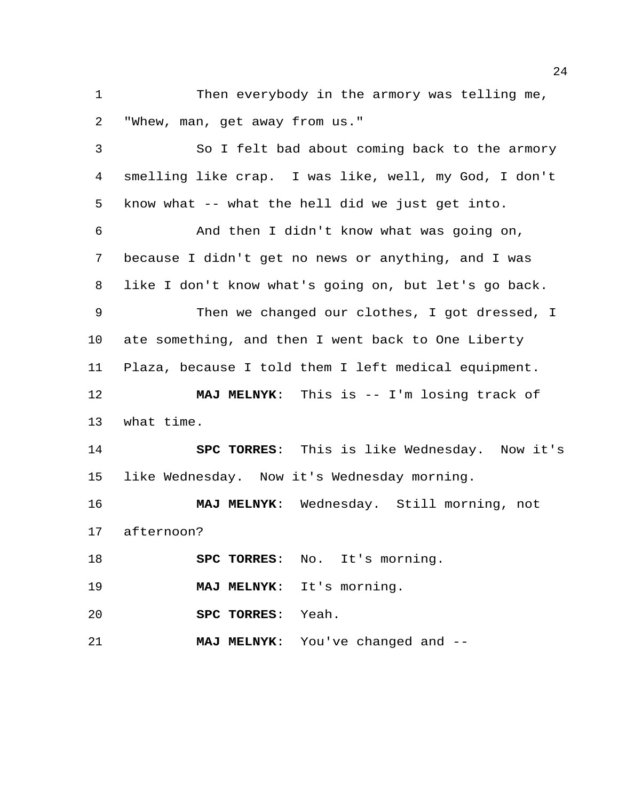Then everybody in the armory was telling me, "Whew, man, get away from us."

 So I felt bad about coming back to the armory smelling like crap. I was like, well, my God, I don't know what -- what the hell did we just get into. And then I didn't know what was going on, because I didn't get no news or anything, and I was like I don't know what's going on, but let's go back. Then we changed our clothes, I got dressed, I ate something, and then I went back to One Liberty Plaza, because I told them I left medical equipment. **MAJ MELNYK**: This is -- I'm losing track of what time. **SPC TORRES**: This is like Wednesday. Now it's like Wednesday. Now it's Wednesday morning. **MAJ MELNYK**: Wednesday. Still morning, not afternoon? **SPC TORRES**: No. It's morning. **MAJ MELNYK**: It's morning. **SPC TORRES**: Yeah. **MAJ MELNYK**: You've changed and --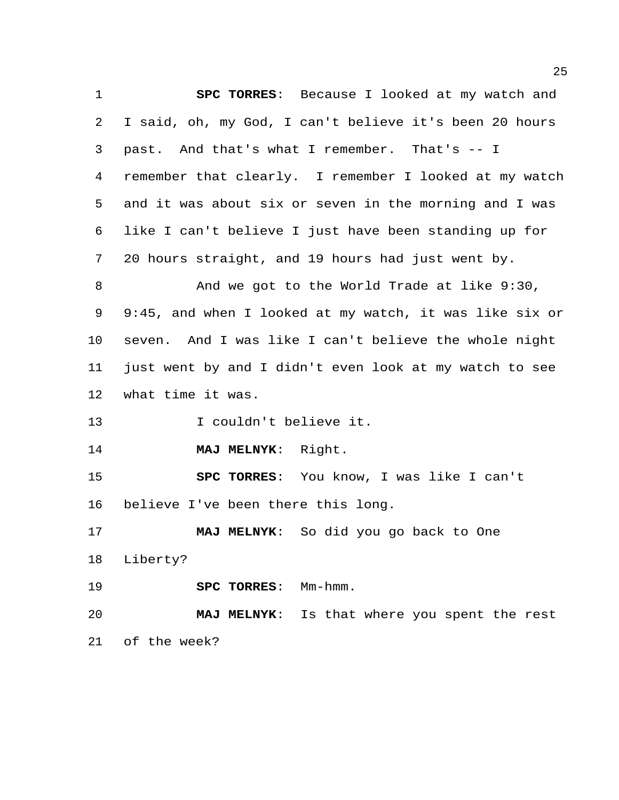**SPC TORRES**: Because I looked at my watch and I said, oh, my God, I can't believe it's been 20 hours past. And that's what I remember. That's -- I remember that clearly. I remember I looked at my watch and it was about six or seven in the morning and I was like I can't believe I just have been standing up for 20 hours straight, and 19 hours had just went by. And we got to the World Trade at like 9:30, 9:45, and when I looked at my watch, it was like six or seven. And I was like I can't believe the whole night just went by and I didn't even look at my watch to see what time it was. I couldn't believe it. **MAJ MELNYK**: Right. **SPC TORRES**: You know, I was like I can't believe I've been there this long. **MAJ MELNYK**: So did you go back to One Liberty? **SPC TORRES**: Mm-hmm. **MAJ MELNYK**: Is that where you spent the rest of the week?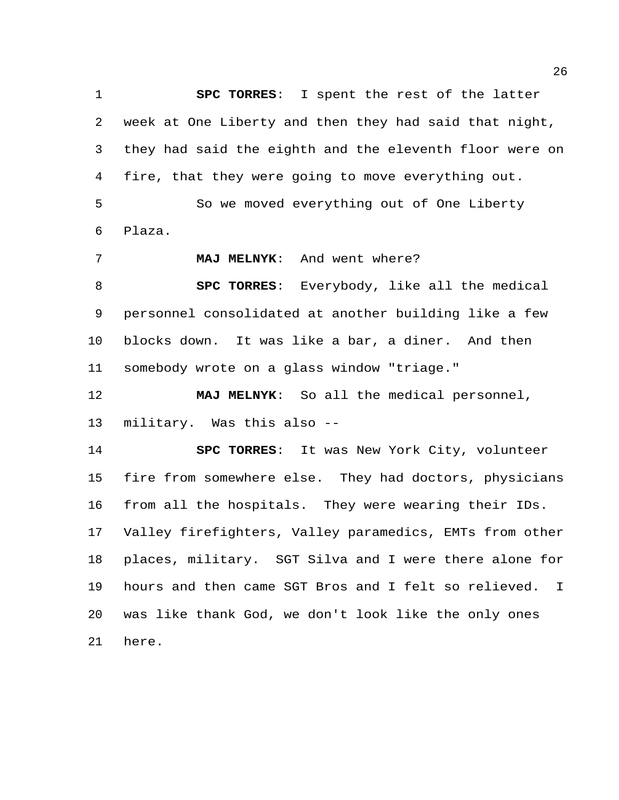**SPC TORRES**: I spent the rest of the latter week at One Liberty and then they had said that night, they had said the eighth and the eleventh floor were on fire, that they were going to move everything out. So we moved everything out of One Liberty Plaza. **MAJ MELNYK**: And went where? **SPC TORRES**: Everybody, like all the medical

 personnel consolidated at another building like a few blocks down. It was like a bar, a diner. And then somebody wrote on a glass window "triage."

 **MAJ MELNYK**: So all the medical personnel, military. Was this also --

 **SPC TORRES**: It was New York City, volunteer fire from somewhere else. They had doctors, physicians from all the hospitals. They were wearing their IDs. Valley firefighters, Valley paramedics, EMTs from other places, military. SGT Silva and I were there alone for hours and then came SGT Bros and I felt so relieved. I was like thank God, we don't look like the only ones here.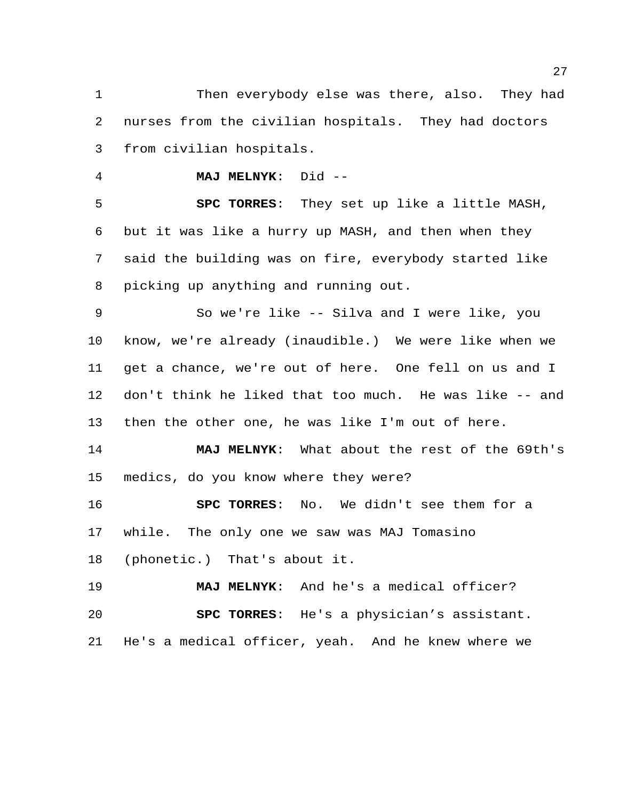Then everybody else was there, also. They had nurses from the civilian hospitals. They had doctors from civilian hospitals.

**MAJ MELNYK**: Did --

 **SPC TORRES**: They set up like a little MASH, but it was like a hurry up MASH, and then when they said the building was on fire, everybody started like picking up anything and running out.

 So we're like -- Silva and I were like, you know, we're already (inaudible.) We were like when we get a chance, we're out of here. One fell on us and I don't think he liked that too much. He was like -- and then the other one, he was like I'm out of here.

 **MAJ MELNYK**: What about the rest of the 69th's medics, do you know where they were?

 **SPC TORRES**: No. We didn't see them for a while. The only one we saw was MAJ Tomasino (phonetic.) That's about it.

 **MAJ MELNYK**: And he's a medical officer? **SPC TORRES**: He's a physician's assistant. He's a medical officer, yeah. And he knew where we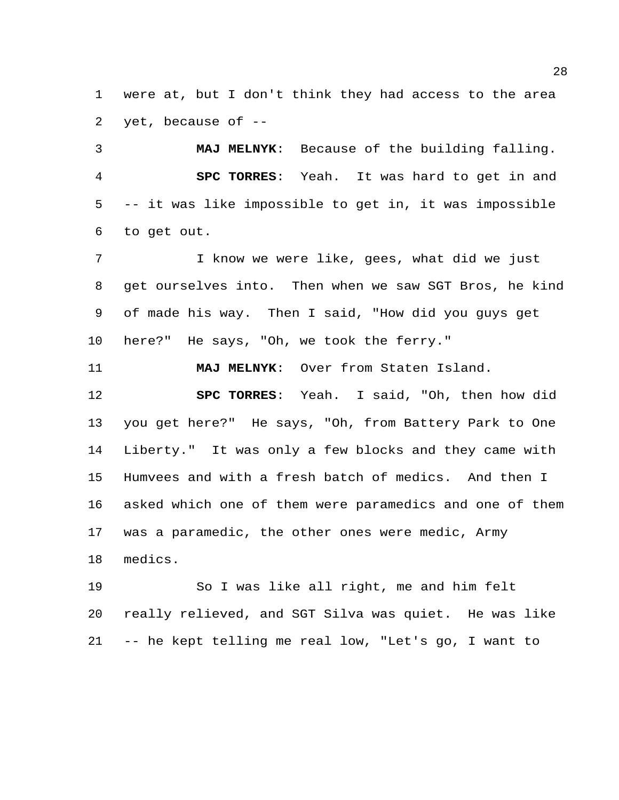were at, but I don't think they had access to the area 2 yet, because of  $-$ 

 **MAJ MELNYK**: Because of the building falling. **SPC TORRES**: Yeah. It was hard to get in and -- it was like impossible to get in, it was impossible to get out.

 I know we were like, gees, what did we just get ourselves into. Then when we saw SGT Bros, he kind of made his way. Then I said, "How did you guys get here?" He says, "Oh, we took the ferry."

**MAJ MELNYK**: Over from Staten Island.

 **SPC TORRES**: Yeah. I said, "Oh, then how did you get here?" He says, "Oh, from Battery Park to One Liberty." It was only a few blocks and they came with Humvees and with a fresh batch of medics. And then I asked which one of them were paramedics and one of them was a paramedic, the other ones were medic, Army medics.

 So I was like all right, me and him felt really relieved, and SGT Silva was quiet. He was like -- he kept telling me real low, "Let's go, I want to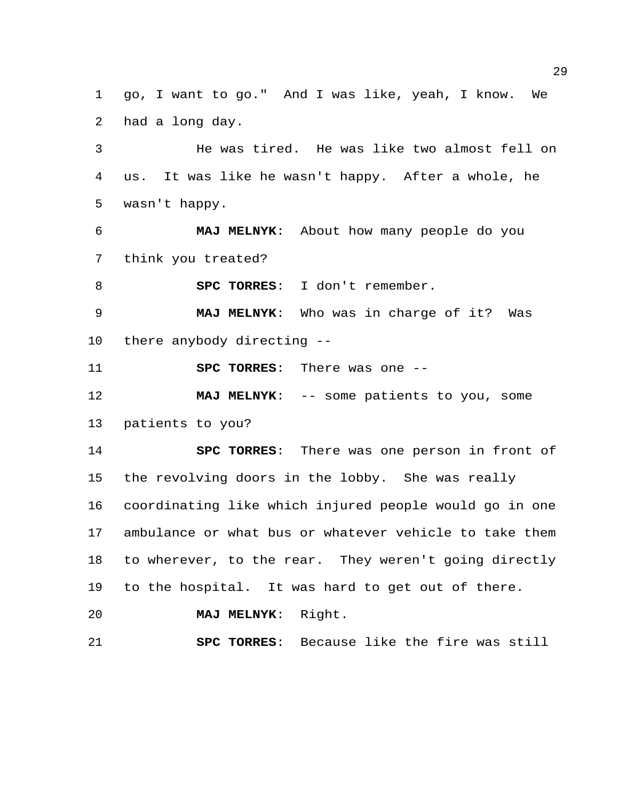go, I want to go." And I was like, yeah, I know. We had a long day.

 He was tired. He was like two almost fell on us. It was like he wasn't happy. After a whole, he wasn't happy.

 **MAJ MELNYK**: About how many people do you think you treated?

**SPC TORRES**: I don't remember.

 **MAJ MELNYK**: Who was in charge of it? Was there anybody directing --

**SPC TORRES**: There was one --

 **MAJ MELNYK**: -- some patients to you, some patients to you?

 **SPC TORRES**: There was one person in front of the revolving doors in the lobby. She was really coordinating like which injured people would go in one ambulance or what bus or whatever vehicle to take them to wherever, to the rear. They weren't going directly to the hospital. It was hard to get out of there.

**MAJ MELNYK**: Right.

**SPC TORRES**: Because like the fire was still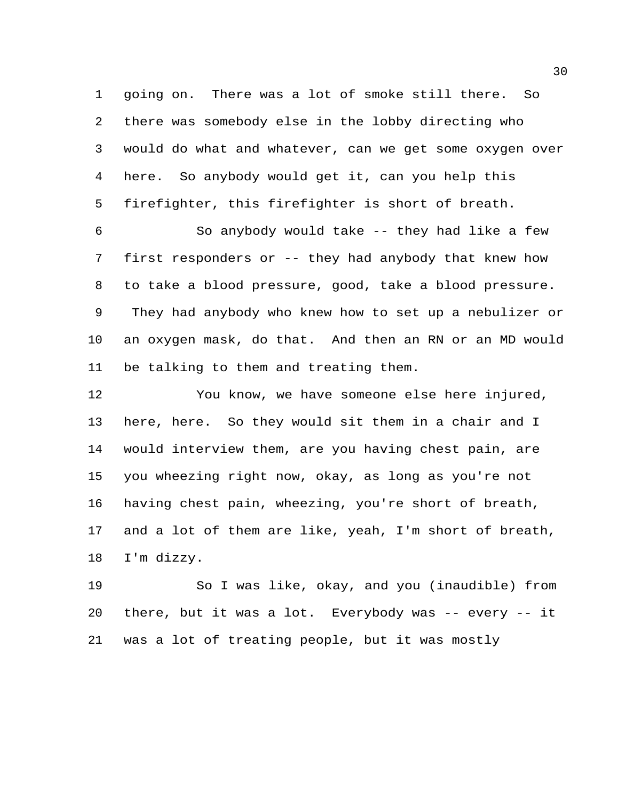going on. There was a lot of smoke still there. So there was somebody else in the lobby directing who would do what and whatever, can we get some oxygen over here. So anybody would get it, can you help this firefighter, this firefighter is short of breath.

 So anybody would take -- they had like a few first responders or -- they had anybody that knew how to take a blood pressure, good, take a blood pressure. They had anybody who knew how to set up a nebulizer or an oxygen mask, do that. And then an RN or an MD would be talking to them and treating them.

 You know, we have someone else here injured, here, here. So they would sit them in a chair and I would interview them, are you having chest pain, are you wheezing right now, okay, as long as you're not having chest pain, wheezing, you're short of breath, and a lot of them are like, yeah, I'm short of breath, I'm dizzy.

 So I was like, okay, and you (inaudible) from there, but it was a lot. Everybody was -- every -- it was a lot of treating people, but it was mostly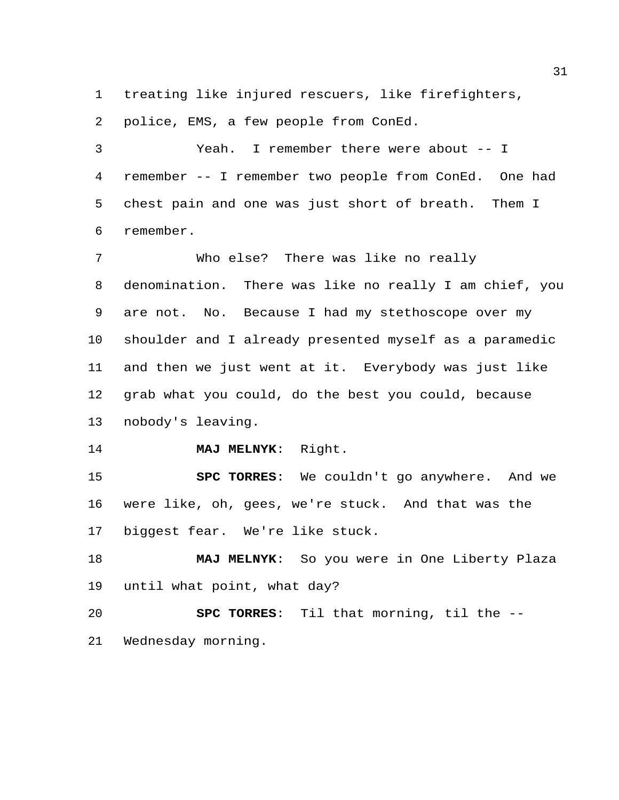treating like injured rescuers, like firefighters,

police, EMS, a few people from ConEd.

 Yeah. I remember there were about -- I remember -- I remember two people from ConEd. One had chest pain and one was just short of breath. Them I remember.

 Who else? There was like no really denomination. There was like no really I am chief, you are not. No. Because I had my stethoscope over my shoulder and I already presented myself as a paramedic and then we just went at it. Everybody was just like grab what you could, do the best you could, because nobody's leaving.

**MAJ MELNYK**: Right.

 **SPC TORRES**: We couldn't go anywhere. And we were like, oh, gees, we're stuck. And that was the biggest fear. We're like stuck.

 **MAJ MELNYK**: So you were in One Liberty Plaza until what point, what day?

 **SPC TORRES**: Til that morning, til the -- Wednesday morning.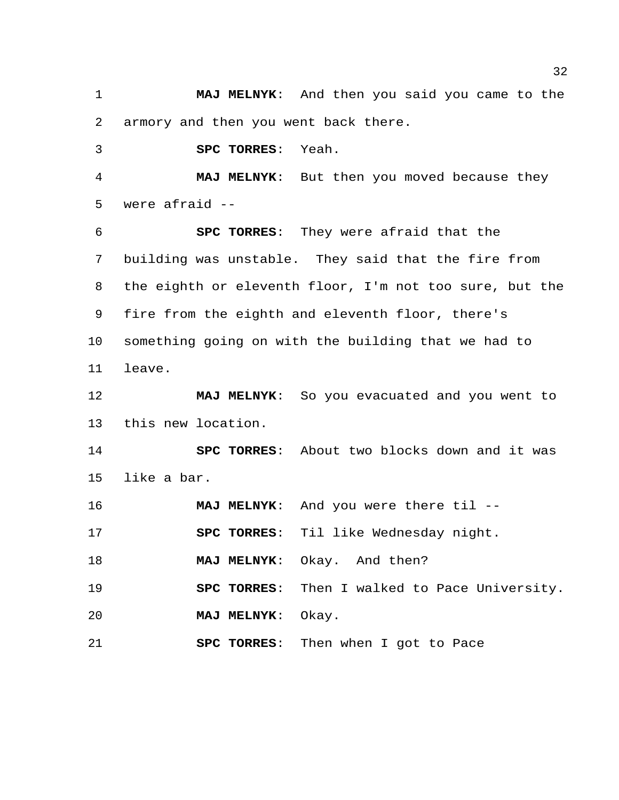**MAJ MELNYK**: And then you said you came to the armory and then you went back there.

**SPC TORRES**: Yeah.

 **MAJ MELNYK**: But then you moved because they were afraid --

 **SPC TORRES**: They were afraid that the building was unstable. They said that the fire from the eighth or eleventh floor, I'm not too sure, but the fire from the eighth and eleventh floor, there's something going on with the building that we had to leave.

 **MAJ MELNYK**: So you evacuated and you went to this new location.

 **SPC TORRES**: About two blocks down and it was like a bar.

**MAJ MELNYK**: And you were there til --

**SPC TORRES**: Til like Wednesday night.

**MAJ MELNYK**: Okay. And then?

**SPC TORRES**: Then I walked to Pace University.

**MAJ MELNYK**: Okay.

**SPC TORRES**: Then when I got to Pace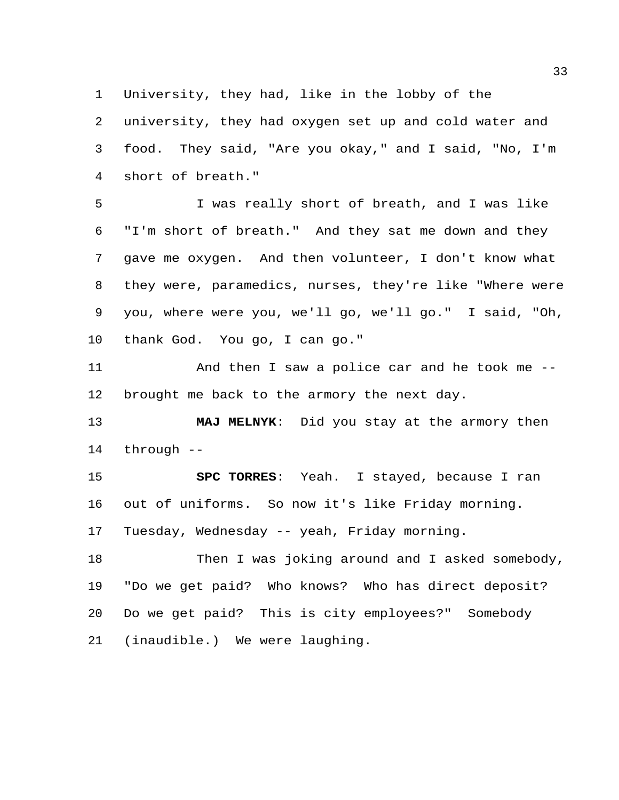University, they had, like in the lobby of the

 university, they had oxygen set up and cold water and food. They said, "Are you okay," and I said, "No, I'm short of breath."

 I was really short of breath, and I was like "I'm short of breath." And they sat me down and they gave me oxygen. And then volunteer, I don't know what they were, paramedics, nurses, they're like "Where were you, where were you, we'll go, we'll go." I said, "Oh, thank God. You go, I can go."

 And then I saw a police car and he took me -- brought me back to the armory the next day.

 **MAJ MELNYK**: Did you stay at the armory then through --

 **SPC TORRES**: Yeah. I stayed, because I ran out of uniforms. So now it's like Friday morning. Tuesday, Wednesday -- yeah, Friday morning.

 Then I was joking around and I asked somebody, "Do we get paid? Who knows? Who has direct deposit? Do we get paid? This is city employees?" Somebody (inaudible.) We were laughing.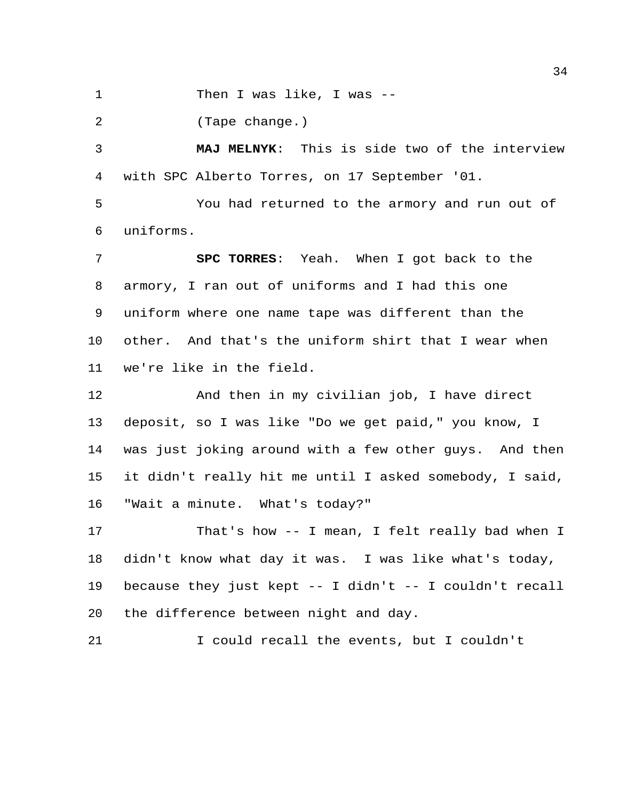1 Then I was like, I was --

(Tape change.)

 **MAJ MELNYK**: This is side two of the interview with SPC Alberto Torres, on 17 September '01.

 You had returned to the armory and run out of uniforms.

 **SPC TORRES**: Yeah. When I got back to the armory, I ran out of uniforms and I had this one uniform where one name tape was different than the other. And that's the uniform shirt that I wear when we're like in the field.

 And then in my civilian job, I have direct deposit, so I was like "Do we get paid," you know, I was just joking around with a few other guys. And then it didn't really hit me until I asked somebody, I said, "Wait a minute. What's today?"

 That's how -- I mean, I felt really bad when I didn't know what day it was. I was like what's today, because they just kept -- I didn't -- I couldn't recall the difference between night and day.

I could recall the events, but I couldn't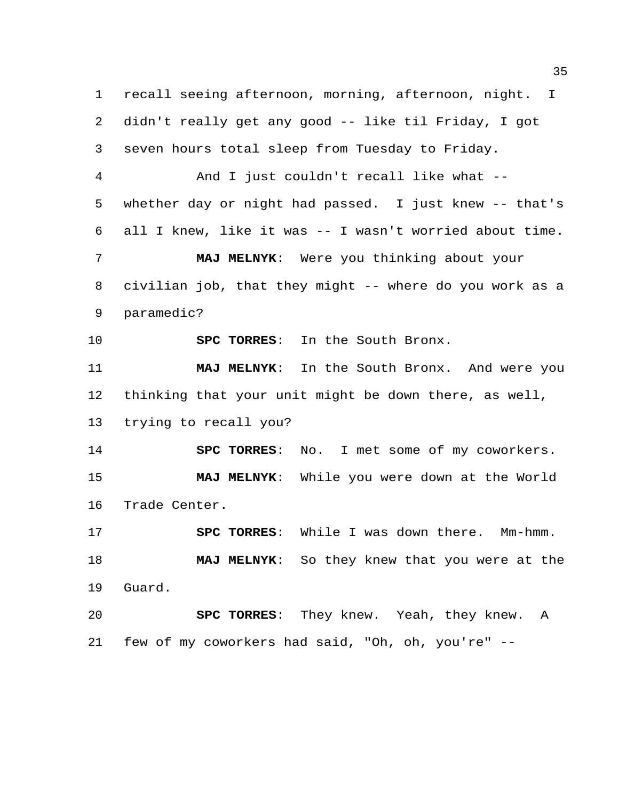recall seeing afternoon, morning, afternoon, night. I didn't really get any good -- like til Friday, I got seven hours total sleep from Tuesday to Friday. And I just couldn't recall like what --

 whether day or night had passed. I just knew -- that's all I knew, like it was -- I wasn't worried about time.

 **MAJ MELNYK**: Were you thinking about your civilian job, that they might -- where do you work as a paramedic?

**SPC TORRES**: In the South Bronx.

 **MAJ MELNYK**: In the South Bronx. And were you thinking that your unit might be down there, as well, trying to recall you?

 **SPC TORRES**: No. I met some of my coworkers. **MAJ MELNYK**: While you were down at the World Trade Center.

 **SPC TORRES**: While I was down there. Mm-hmm. **MAJ MELNYK**: So they knew that you were at the Guard.

 **SPC TORRES**: They knew. Yeah, they knew. A few of my coworkers had said, "Oh, oh, you're" --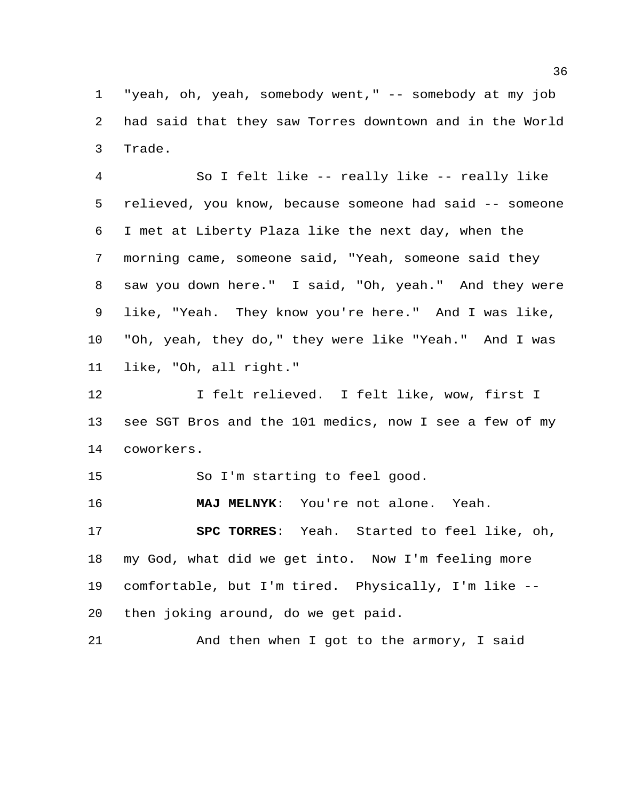"yeah, oh, yeah, somebody went," -- somebody at my job had said that they saw Torres downtown and in the World Trade.

 So I felt like -- really like -- really like relieved, you know, because someone had said -- someone I met at Liberty Plaza like the next day, when the morning came, someone said, "Yeah, someone said they saw you down here." I said, "Oh, yeah." And they were like, "Yeah. They know you're here." And I was like, "Oh, yeah, they do," they were like "Yeah." And I was like, "Oh, all right."

 I felt relieved. I felt like, wow, first I see SGT Bros and the 101 medics, now I see a few of my coworkers.

So I'm starting to feel good.

**MAJ MELNYK**: You're not alone. Yeah.

 **SPC TORRES**: Yeah. Started to feel like, oh, my God, what did we get into. Now I'm feeling more comfortable, but I'm tired. Physically, I'm like -- then joking around, do we get paid.

21 And then when I got to the armory, I said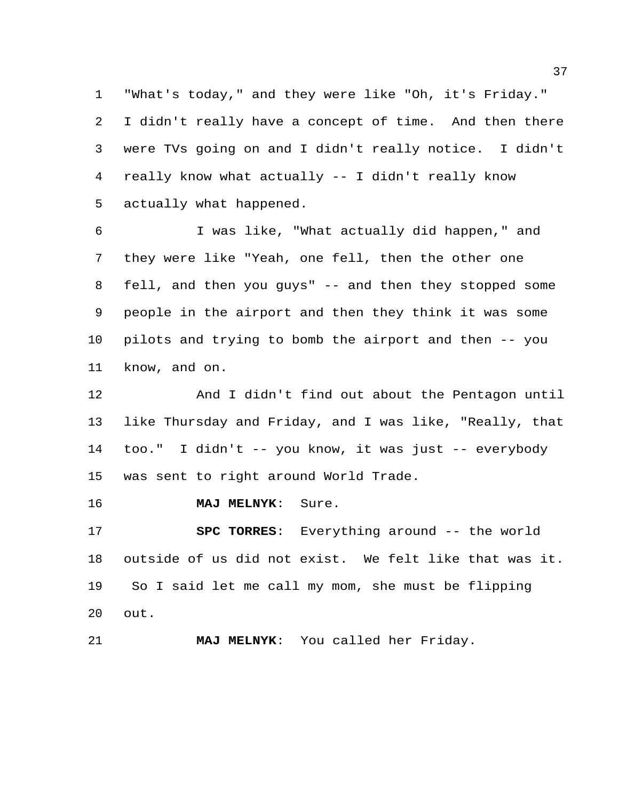"What's today," and they were like "Oh, it's Friday." I didn't really have a concept of time. And then there were TVs going on and I didn't really notice. I didn't really know what actually -- I didn't really know actually what happened.

 I was like, "What actually did happen," and they were like "Yeah, one fell, then the other one fell, and then you guys" -- and then they stopped some people in the airport and then they think it was some pilots and trying to bomb the airport and then -- you know, and on.

 And I didn't find out about the Pentagon until like Thursday and Friday, and I was like, "Really, that too." I didn't -- you know, it was just -- everybody was sent to right around World Trade.

**MAJ MELNYK**: Sure.

 **SPC TORRES**: Everything around -- the world outside of us did not exist. We felt like that was it. So I said let me call my mom, she must be flipping out.

**MAJ MELNYK**: You called her Friday.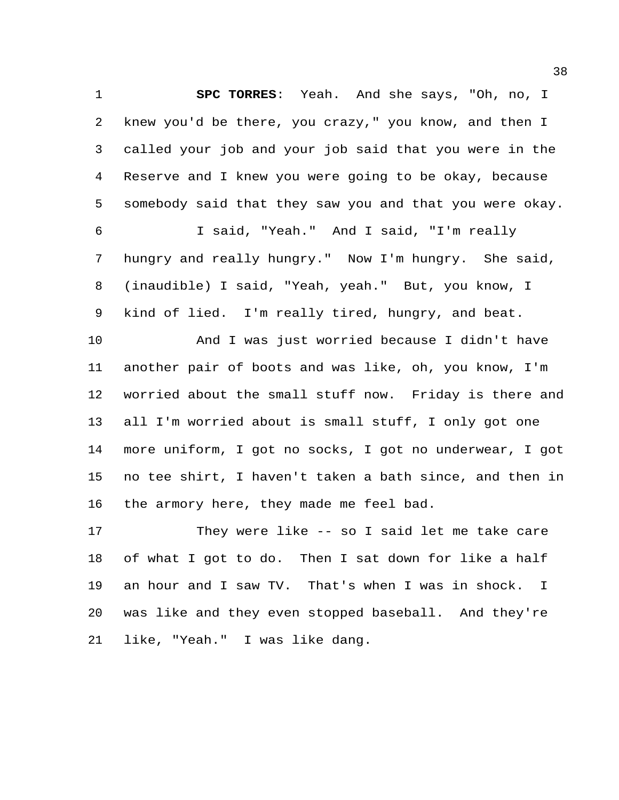**SPC TORRES**: Yeah. And she says, "Oh, no, I knew you'd be there, you crazy," you know, and then I called your job and your job said that you were in the Reserve and I knew you were going to be okay, because somebody said that they saw you and that you were okay. I said, "Yeah." And I said, "I'm really

 hungry and really hungry." Now I'm hungry. She said, (inaudible) I said, "Yeah, yeah." But, you know, I kind of lied. I'm really tired, hungry, and beat.

 And I was just worried because I didn't have another pair of boots and was like, oh, you know, I'm worried about the small stuff now. Friday is there and all I'm worried about is small stuff, I only got one more uniform, I got no socks, I got no underwear, I got no tee shirt, I haven't taken a bath since, and then in the armory here, they made me feel bad.

 They were like -- so I said let me take care of what I got to do. Then I sat down for like a half an hour and I saw TV. That's when I was in shock. I was like and they even stopped baseball. And they're like, "Yeah." I was like dang.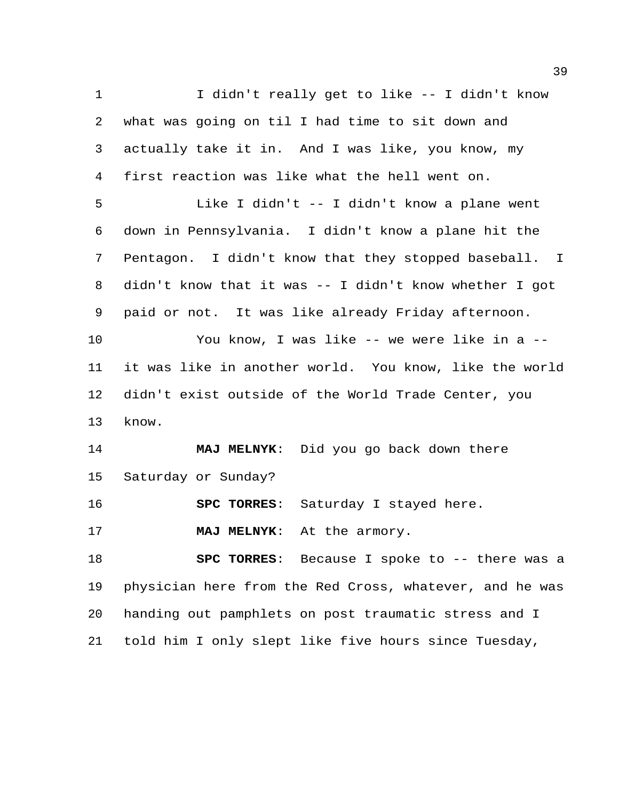I didn't really get to like -- I didn't know what was going on til I had time to sit down and actually take it in. And I was like, you know, my first reaction was like what the hell went on. Like I didn't -- I didn't know a plane went down in Pennsylvania. I didn't know a plane hit the Pentagon. I didn't know that they stopped baseball. I didn't know that it was -- I didn't know whether I got paid or not. It was like already Friday afternoon. You know, I was like -- we were like in a -- it was like in another world. You know, like the world didn't exist outside of the World Trade Center, you know. **MAJ MELNYK**: Did you go back down there Saturday or Sunday? **SPC TORRES**: Saturday I stayed here. **MAJ MELNYK**: At the armory. **SPC TORRES**: Because I spoke to -- there was a physician here from the Red Cross, whatever, and he was handing out pamphlets on post traumatic stress and I told him I only slept like five hours since Tuesday,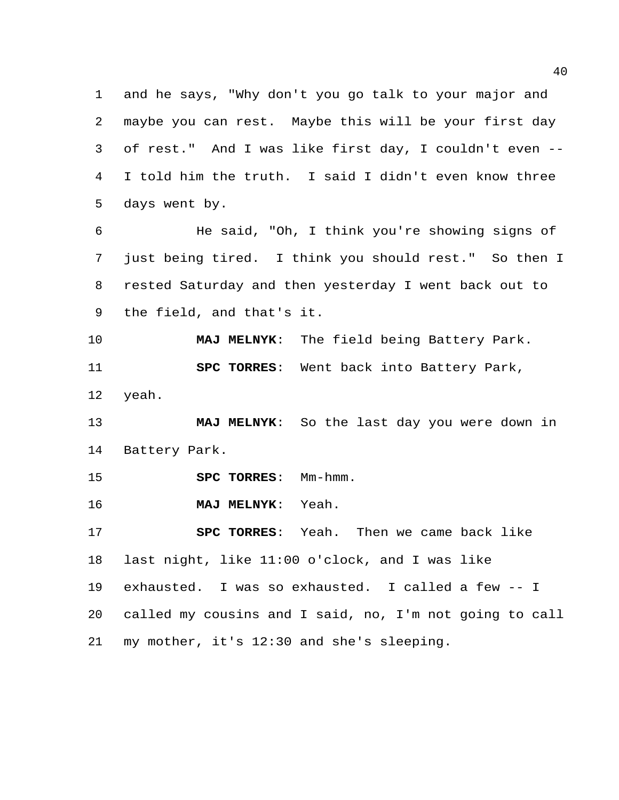and he says, "Why don't you go talk to your major and maybe you can rest. Maybe this will be your first day of rest." And I was like first day, I couldn't even -- I told him the truth. I said I didn't even know three days went by.

 He said, "Oh, I think you're showing signs of just being tired. I think you should rest." So then I rested Saturday and then yesterday I went back out to the field, and that's it.

 **MAJ MELNYK**: The field being Battery Park. **SPC TORRES**: Went back into Battery Park, yeah.

 **MAJ MELNYK**: So the last day you were down in Battery Park.

**SPC TORRES:** Mm-hmm.

**MAJ MELNYK**: Yeah.

 **SPC TORRES**: Yeah. Then we came back like last night, like 11:00 o'clock, and I was like exhausted. I was so exhausted. I called a few -- I called my cousins and I said, no, I'm not going to call my mother, it's 12:30 and she's sleeping.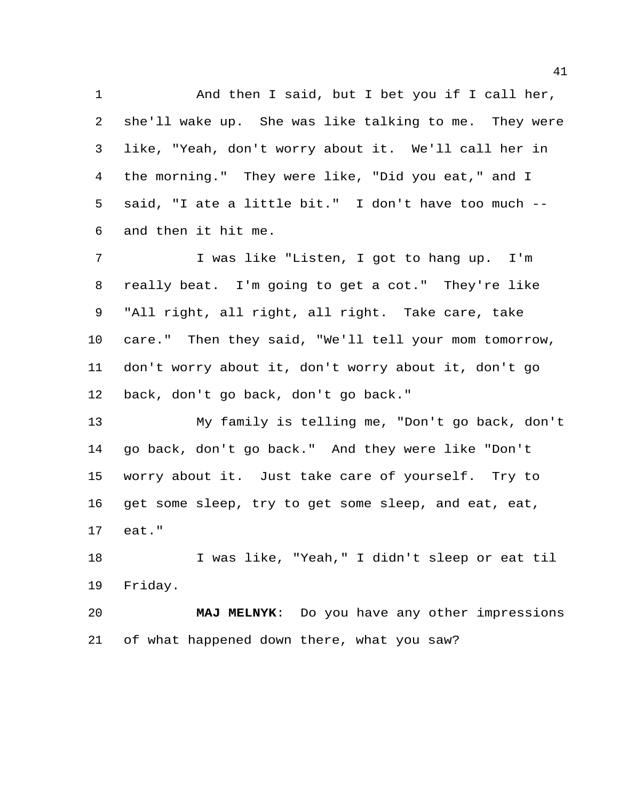And then I said, but I bet you if I call her, she'll wake up. She was like talking to me. They were like, "Yeah, don't worry about it. We'll call her in the morning." They were like, "Did you eat," and I said, "I ate a little bit." I don't have too much -- and then it hit me.

 I was like "Listen, I got to hang up. I'm really beat. I'm going to get a cot." They're like "All right, all right, all right. Take care, take care." Then they said, "We'll tell your mom tomorrow, don't worry about it, don't worry about it, don't go back, don't go back, don't go back."

 My family is telling me, "Don't go back, don't go back, don't go back." And they were like "Don't worry about it. Just take care of yourself. Try to get some sleep, try to get some sleep, and eat, eat, eat."

 I was like, "Yeah," I didn't sleep or eat til Friday.

 **MAJ MELNYK**: Do you have any other impressions of what happened down there, what you saw?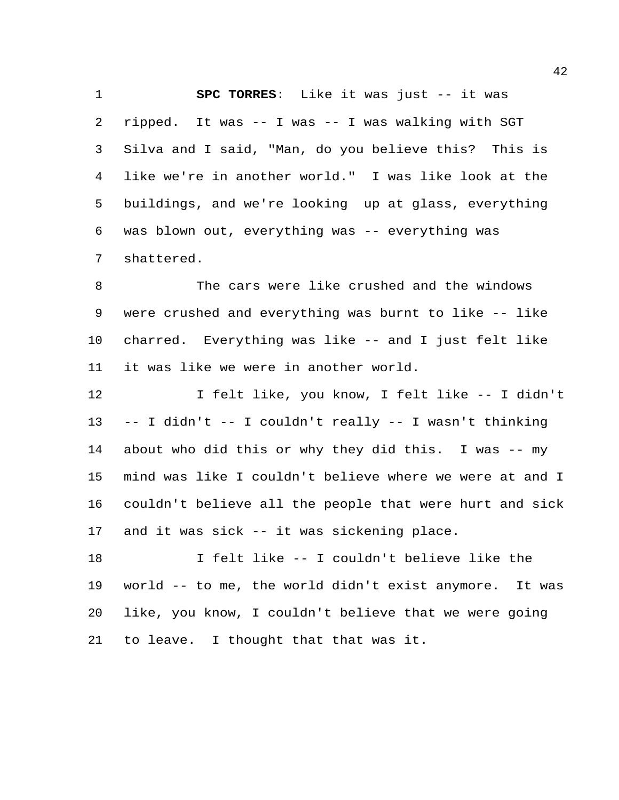**SPC TORRES**: Like it was just -- it was ripped. It was -- I was -- I was walking with SGT Silva and I said, "Man, do you believe this? This is like we're in another world." I was like look at the buildings, and we're looking up at glass, everything was blown out, everything was -- everything was shattered.

 The cars were like crushed and the windows were crushed and everything was burnt to like -- like charred. Everything was like -- and I just felt like it was like we were in another world.

 I felt like, you know, I felt like -- I didn't -- I didn't -- I couldn't really -- I wasn't thinking about who did this or why they did this. I was -- my mind was like I couldn't believe where we were at and I couldn't believe all the people that were hurt and sick and it was sick -- it was sickening place.

 I felt like -- I couldn't believe like the world -- to me, the world didn't exist anymore. It was like, you know, I couldn't believe that we were going to leave. I thought that that was it.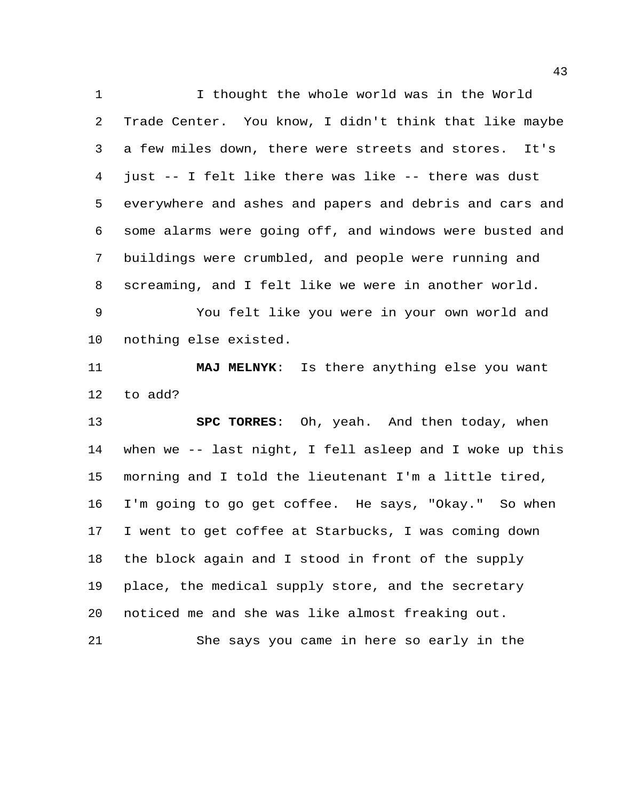I thought the whole world was in the World Trade Center. You know, I didn't think that like maybe a few miles down, there were streets and stores. It's just -- I felt like there was like -- there was dust everywhere and ashes and papers and debris and cars and some alarms were going off, and windows were busted and buildings were crumbled, and people were running and screaming, and I felt like we were in another world.

 You felt like you were in your own world and nothing else existed.

 **MAJ MELNYK**: Is there anything else you want to add?

 **SPC TORRES**: Oh, yeah. And then today, when when we -- last night, I fell asleep and I woke up this morning and I told the lieutenant I'm a little tired, I'm going to go get coffee. He says, "Okay." So when I went to get coffee at Starbucks, I was coming down the block again and I stood in front of the supply place, the medical supply store, and the secretary noticed me and she was like almost freaking out. She says you came in here so early in the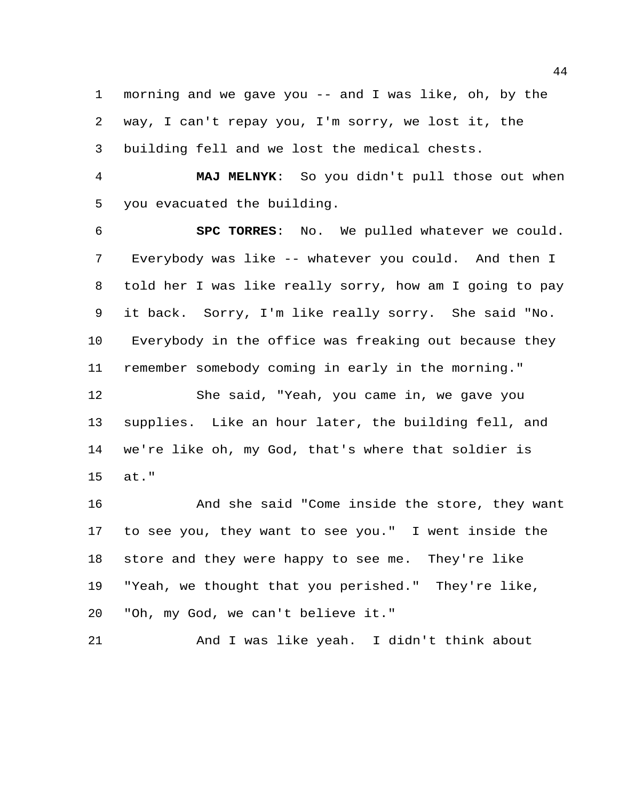morning and we gave you -- and I was like, oh, by the way, I can't repay you, I'm sorry, we lost it, the building fell and we lost the medical chests.

 **MAJ MELNYK**: So you didn't pull those out when you evacuated the building.

 **SPC TORRES**: No. We pulled whatever we could. Everybody was like -- whatever you could. And then I told her I was like really sorry, how am I going to pay it back. Sorry, I'm like really sorry. She said "No. Everybody in the office was freaking out because they remember somebody coming in early in the morning." She said, "Yeah, you came in, we gave you supplies. Like an hour later, the building fell, and we're like oh, my God, that's where that soldier is at."

 And she said "Come inside the store, they want to see you, they want to see you." I went inside the store and they were happy to see me. They're like "Yeah, we thought that you perished." They're like, "Oh, my God, we can't believe it."

And I was like yeah. I didn't think about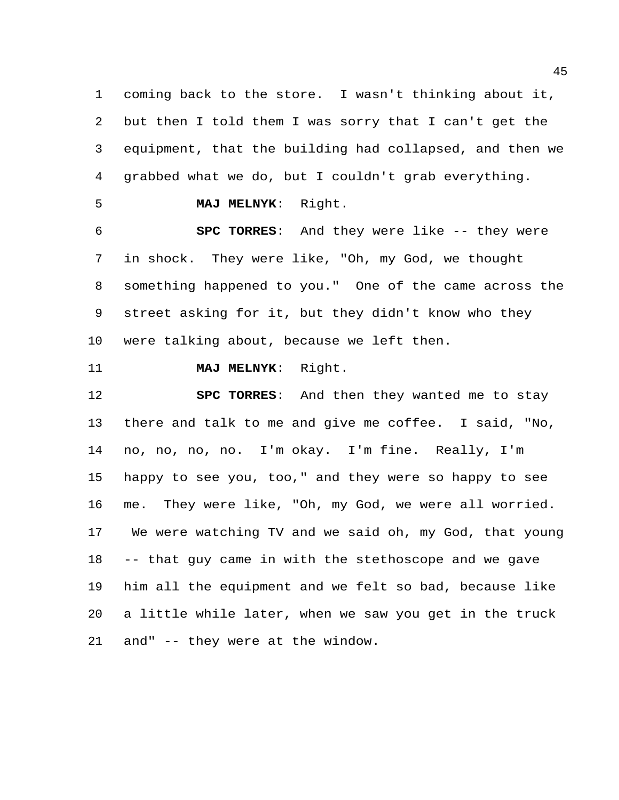coming back to the store. I wasn't thinking about it, but then I told them I was sorry that I can't get the equipment, that the building had collapsed, and then we grabbed what we do, but I couldn't grab everything.

**MAJ MELNYK**: Right.

 **SPC TORRES**: And they were like -- they were in shock. They were like, "Oh, my God, we thought something happened to you." One of the came across the street asking for it, but they didn't know who they were talking about, because we left then.

### **MAJ MELNYK**: Right.

 **SPC TORRES**: And then they wanted me to stay there and talk to me and give me coffee. I said, "No, no, no, no, no. I'm okay. I'm fine. Really, I'm happy to see you, too," and they were so happy to see me. They were like, "Oh, my God, we were all worried. We were watching TV and we said oh, my God, that young -- that guy came in with the stethoscope and we gave him all the equipment and we felt so bad, because like a little while later, when we saw you get in the truck and" -- they were at the window.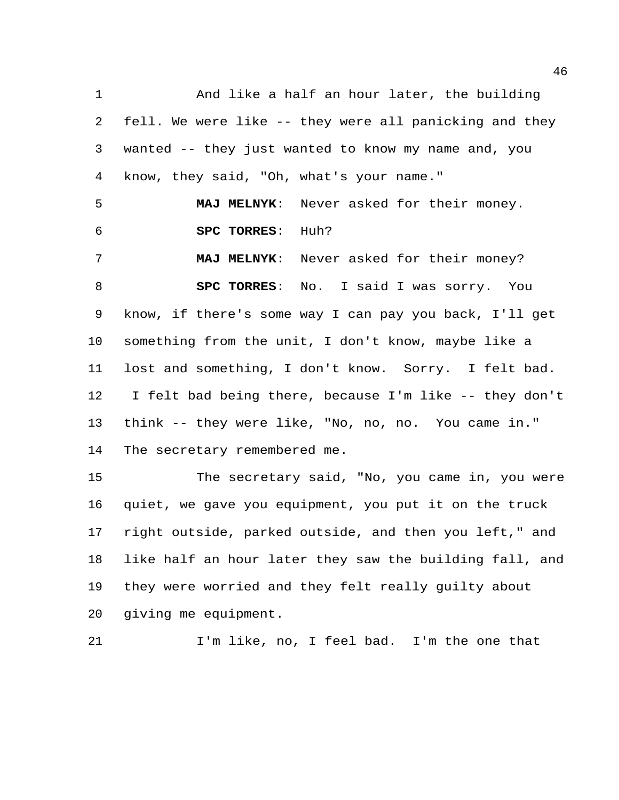And like a half an hour later, the building fell. We were like -- they were all panicking and they wanted -- they just wanted to know my name and, you know, they said, "Oh, what's your name." **MAJ MELNYK**: Never asked for their money. **SPC TORRES**: Huh? **MAJ MELNYK**: Never asked for their money? **SPC TORRES**: No. I said I was sorry. You know, if there's some way I can pay you back, I'll get something from the unit, I don't know, maybe like a lost and something, I don't know. Sorry. I felt bad. I felt bad being there, because I'm like -- they don't think -- they were like, "No, no, no. You came in." The secretary remembered me. The secretary said, "No, you came in, you were quiet, we gave you equipment, you put it on the truck right outside, parked outside, and then you left," and

 like half an hour later they saw the building fall, and they were worried and they felt really guilty about giving me equipment.

I'm like, no, I feel bad. I'm the one that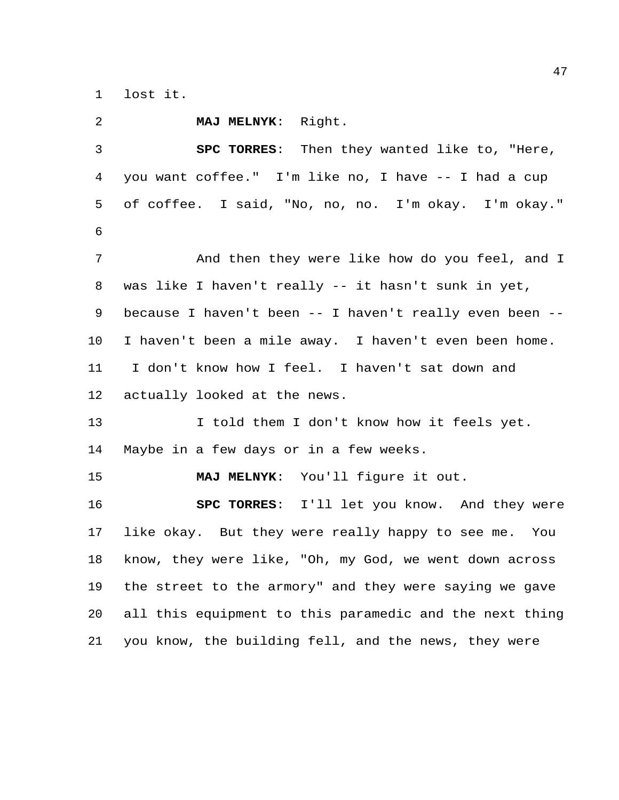lost it.

| 2  | MAJ MELNYK: Right.                                      |
|----|---------------------------------------------------------|
| 3  | SPC TORRES: Then they wanted like to, "Here,            |
| 4  | you want coffee." I'm like no, I have -- I had a cup    |
| 5  | of coffee. I said, "No, no, no. I'm okay. I'm okay."    |
| 6  |                                                         |
| 7  | And then they were like how do you feel, and I          |
| 8  | was like I haven't really -- it hasn't sunk in yet,     |
| 9  | because I haven't been -- I haven't really even been -- |
| 10 | I haven't been a mile away. I haven't even been home.   |
| 11 | I don't know how I feel. I haven't sat down and         |
| 12 | actually looked at the news.                            |
| 13 | I told them I don't know how it feels yet.              |
| 14 | Maybe in a few days or in a few weeks.                  |
| 15 | MAJ MELNYK: You'll figure it out.                       |
| 16 | SPC TORRES: I'll let you know. And they were            |
| 17 | like okay. But they were really happy to see me. You    |
| 18 | know, they were like, "Oh, my God, we went down across  |
| 19 | the street to the armory" and they were saying we gave  |
| 20 | all this equipment to this paramedic and the next thing |
| 21 | you know, the building fell, and the news, they were    |